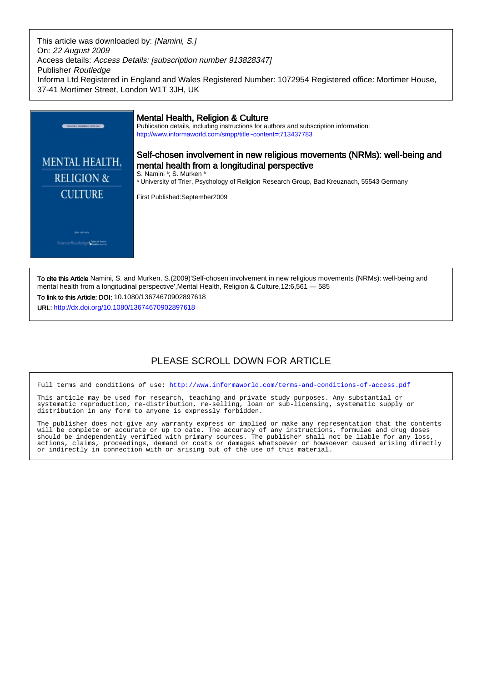This article was downloaded by: [Namini, S.] On: 22 August 2009 Access details: Access Details: [subscription number 913828347] Publisher Routledge Informa Ltd Registered in England and Wales Registered Number: 1072954 Registered office: Mortimer House, 37-41 Mortimer Street, London W1T 3JH, UK



To cite this Article Namini, S. and Murken, S.(2009)'Self-chosen involvement in new religious movements (NRMs): well-being and mental health from a longitudinal perspective',Mental Health, Religion & Culture,12:6,561 — 585

To link to this Article: DOI: 10.1080/13674670902897618

URL: <http://dx.doi.org/10.1080/13674670902897618>

# PLEASE SCROLL DOWN FOR ARTICLE

Full terms and conditions of use:<http://www.informaworld.com/terms-and-conditions-of-access.pdf>

This article may be used for research, teaching and private study purposes. Any substantial or systematic reproduction, re-distribution, re-selling, loan or sub-licensing, systematic supply or distribution in any form to anyone is expressly forbidden.

The publisher does not give any warranty express or implied or make any representation that the contents will be complete or accurate or up to date. The accuracy of any instructions, formulae and drug doses should be independently verified with primary sources. The publisher shall not be liable for any loss, actions, claims, proceedings, demand or costs or damages whatsoever or howsoever caused arising directly or indirectly in connection with or arising out of the use of this material.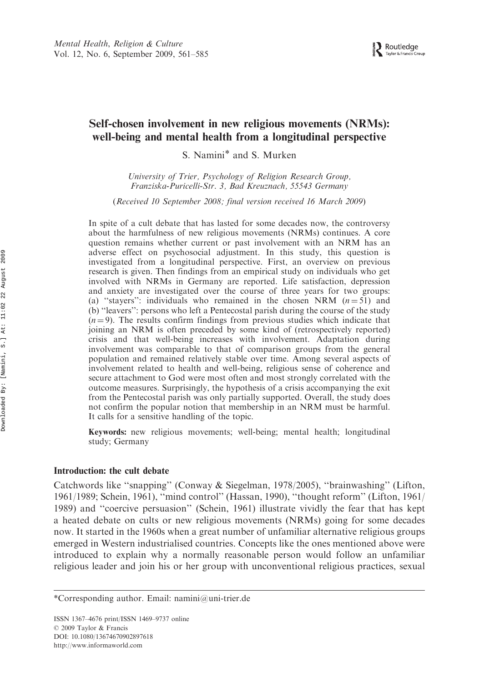# Self-chosen involvement in new religious movements (NRMs): well-being and mental health from a longitudinal perspective

S. Namini\* and S. Murken

University of Trier, Psychology of Religion Research Group, Franziska-Puricelli-Str. 3, Bad Kreuznach, 55543 Germany

(Received 10 September 2008; final version received 16 March 2009)

In spite of a cult debate that has lasted for some decades now, the controversy about the harmfulness of new religious movements (NRMs) continues. A core question remains whether current or past involvement with an NRM has an adverse effect on psychosocial adjustment. In this study, this question is investigated from a longitudinal perspective. First, an overview on previous research is given. Then findings from an empirical study on individuals who get involved with NRMs in Germany are reported. Life satisfaction, depression and anxiety are investigated over the course of three years for two groups: (a) "stayers": individuals who remained in the chosen NRM  $(n=51)$  and (b) ''leavers'': persons who left a Pentecostal parish during the course of the study  $(n = 9)$ . The results confirm findings from previous studies which indicate that joining an NRM is often preceded by some kind of (retrospectively reported) crisis and that well-being increases with involvement. Adaptation during involvement was comparable to that of comparison groups from the general population and remained relatively stable over time. Among several aspects of involvement related to health and well-being, religious sense of coherence and secure attachment to God were most often and most strongly correlated with the outcome measures. Surprisingly, the hypothesis of a crisis accompanying the exit from the Pentecostal parish was only partially supported. Overall, the study does not confirm the popular notion that membership in an NRM must be harmful. It calls for a sensitive handling of the topic.

Keywords: new religious movements; well-being; mental health; longitudinal study; Germany

## Introduction: the cult debate

Catchwords like ''snapping'' (Conway & Siegelman, 1978/2005), ''brainwashing'' (Lifton, 1961/1989; Schein, 1961), ''mind control'' (Hassan, 1990), ''thought reform'' (Lifton, 1961/ 1989) and ''coercive persuasion'' (Schein, 1961) illustrate vividly the fear that has kept a heated debate on cults or new religious movements (NRMs) going for some decades now. It started in the 1960s when a great number of unfamiliar alternative religious groups emerged in Western industrialised countries. Concepts like the ones mentioned above were introduced to explain why a normally reasonable person would follow an unfamiliar religious leader and join his or her group with unconventional religious practices, sexual

ISSN 1367–4676 print/ISSN 1469–9737 online © 2009 Taylor & Francis DOI: 10.1080/13674670902897618 http://www.informaworld.com

<sup>\*</sup>Corresponding author. Email: namini@uni-trier.de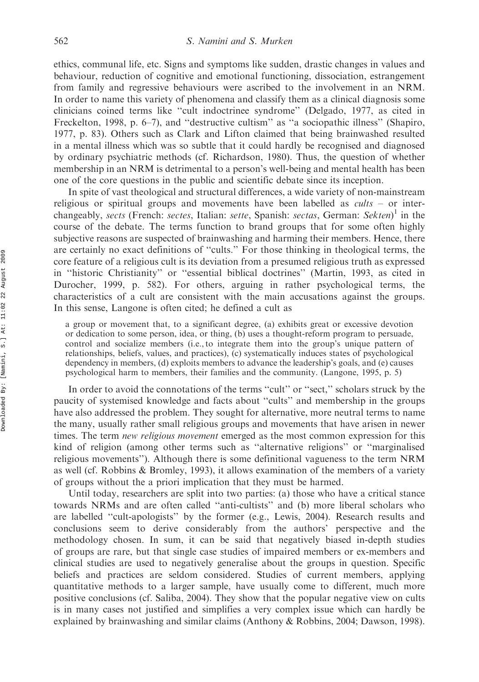ethics, communal life, etc. Signs and symptoms like sudden, drastic changes in values and behaviour, reduction of cognitive and emotional functioning, dissociation, estrangement from family and regressive behaviours were ascribed to the involvement in an NRM. In order to name this variety of phenomena and classify them as a clinical diagnosis some clinicians coined terms like ''cult indoctrinee syndrome'' (Delgado, 1977, as cited in Freckelton, 1998, p. 6–7), and ''destructive cultism'' as ''a sociopathic illness'' (Shapiro, 1977, p. 83). Others such as Clark and Lifton claimed that being brainwashed resulted in a mental illness which was so subtle that it could hardly be recognised and diagnosed by ordinary psychiatric methods (cf. Richardson, 1980). Thus, the question of whether membership in an NRM is detrimental to a person's well-being and mental health has been one of the core questions in the public and scientific debate since its inception.

In spite of vast theological and structural differences, a wide variety of non-mainstream religious or spiritual groups and movements have been labelled as  $\textit{cuts}$  – or interchangeably, sects (French: sectes, Italian: sette, Spanish: sectas, German: Sekten)<sup>1</sup> in the course of the debate. The terms function to brand groups that for some often highly subjective reasons are suspected of brainwashing and harming their members. Hence, there are certainly no exact definitions of ''cults.'' For those thinking in theological terms, the core feature of a religious cult is its deviation from a presumed religious truth as expressed in ''historic Christianity'' or ''essential biblical doctrines'' (Martin, 1993, as cited in Durocher, 1999, p. 582). For others, arguing in rather psychological terms, the characteristics of a cult are consistent with the main accusations against the groups. In this sense, Langone is often cited; he defined a cult as

a group or movement that, to a significant degree, (a) exhibits great or excessive devotion or dedication to some person, idea, or thing, (b) uses a thought-reform program to persuade, control and socialize members (i.e., to integrate them into the group's unique pattern of relationships, beliefs, values, and practices), (c) systematically induces states of psychological dependency in members, (d) exploits members to advance the leadership's goals, and (e) causes psychological harm to members, their families and the community. (Langone, 1995, p. 5)

In order to avoid the connotations of the terms ''cult'' or ''sect,'' scholars struck by the paucity of systemised knowledge and facts about ''cults'' and membership in the groups have also addressed the problem. They sought for alternative, more neutral terms to name the many, usually rather small religious groups and movements that have arisen in newer times. The term *new religious movement* emerged as the most common expression for this kind of religion (among other terms such as ''alternative religions'' or ''marginalised religious movements''). Although there is some definitional vagueness to the term NRM as well (cf. Robbins & Bromley, 1993), it allows examination of the members of a variety of groups without the a priori implication that they must be harmed.

Until today, researchers are split into two parties: (a) those who have a critical stance towards NRMs and are often called ''anti-cultists'' and (b) more liberal scholars who are labelled ''cult-apologists'' by the former (e.g., Lewis, 2004). Research results and conclusions seem to derive considerably from the authors' perspective and the methodology chosen. In sum, it can be said that negatively biased in-depth studies of groups are rare, but that single case studies of impaired members or ex-members and clinical studies are used to negatively generalise about the groups in question. Specific beliefs and practices are seldom considered. Studies of current members, applying quantitative methods to a larger sample, have usually come to different, much more positive conclusions (cf. Saliba, 2004). They show that the popular negative view on cults is in many cases not justified and simplifies a very complex issue which can hardly be explained by brainwashing and similar claims (Anthony & Robbins, 2004; Dawson, 1998).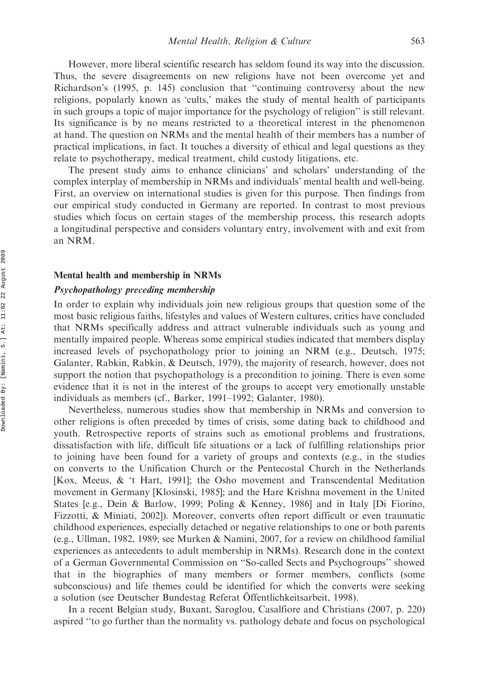However, more liberal scientific research has seldom found its way into the discussion. Thus, the severe disagreements on new religions have not been overcome yet and Richardson's (1995, p. 145) conclusion that ''continuing controversy about the new religions, popularly known as 'cults,' makes the study of mental health of participants in such groups a topic of major importance for the psychology of religion'' is still relevant. Its significance is by no means restricted to a theoretical interest in the phenomenon at hand. The question on NRMs and the mental health of their members has a number of practical implications, in fact. It touches a diversity of ethical and legal questions as they relate to psychotherapy, medical treatment, child custody litigations, etc.

The present study aims to enhance clinicians' and scholars' understanding of the complex interplay of membership in NRMs and individuals' mental health and well-being. First, an overview on international studies is given for this purpose. Then findings from our empirical study conducted in Germany are reported. In contrast to most previous studies which focus on certain stages of the membership process, this research adopts a longitudinal perspective and considers voluntary entry, involvement with and exit from an NRM.

#### Mental health and membership in NRMs

# Psychopathology preceding membership

In order to explain why individuals join new religious groups that question some of the most basic religious faiths, lifestyles and values of Western cultures, critics have concluded that NRMs specifically address and attract vulnerable individuals such as young and mentally impaired people. Whereas some empirical studies indicated that members display increased levels of psychopathology prior to joining an NRM (e.g., Deutsch, 1975; Galanter, Rabkin, Rabkin, & Deutsch, 1979), the majority of research, however, does not support the notion that psychopathology is a precondition to joining. There is even some evidence that it is not in the interest of the groups to accept very emotionally unstable individuals as members (cf., Barker, 1991–1992; Galanter, 1980).

Nevertheless, numerous studies show that membership in NRMs and conversion to other religions is often preceded by times of crisis, some dating back to childhood and youth. Retrospective reports of strains such as emotional problems and frustrations, dissatisfaction with life, difficult life situations or a lack of fulfilling relationships prior to joining have been found for a variety of groups and contexts (e.g., in the studies on converts to the Unification Church or the Pentecostal Church in the Netherlands [Kox, Meeus, & 't Hart, 1991]; the Osho movement and Transcendental Meditation movement in Germany [Klosinski, 1985]; and the Hare Krishna movement in the United States [e.g., Dein & Barlow, 1999; Poling & Kenney, 1986] and in Italy [Di Fiorino, Fizzotti, & Miniati, 2002]). Moreover, converts often report difficult or even traumatic childhood experiences, especially detached or negative relationships to one or both parents (e.g., Ullman, 1982, 1989; see Murken & Namini, 2007, for a review on childhood familial experiences as antecedents to adult membership in NRMs). Research done in the context of a German Governmental Commission on ''So-called Sects and Psychogroups'' showed that in the biographies of many members or former members, conflicts (some subconscious) and life themes could be identified for which the converts were seeking a solution (see Deutscher Bundestag Referat Öffentlichkeitsarbeit, 1998).

In a recent Belgian study, Buxant, Saroglou, Casalfiore and Christians (2007, p. 220) aspired ''to go further than the normality vs. pathology debate and focus on psychological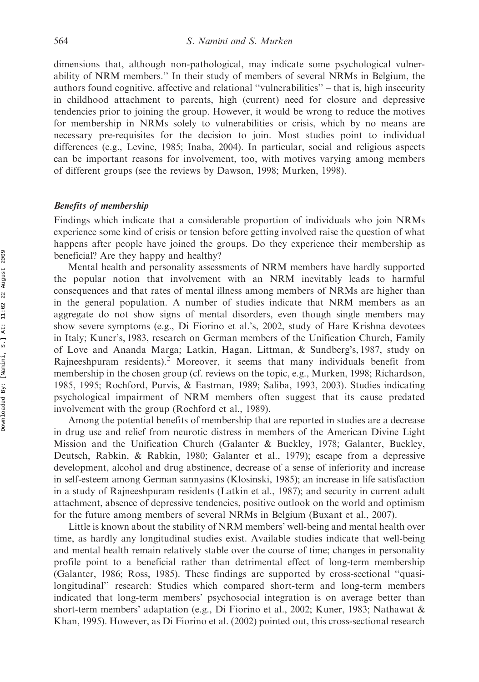dimensions that, although non-pathological, may indicate some psychological vulnerability of NRM members.'' In their study of members of several NRMs in Belgium, the authors found cognitive, affective and relational ''vulnerabilities'' – that is, high insecurity in childhood attachment to parents, high (current) need for closure and depressive tendencies prior to joining the group. However, it would be wrong to reduce the motives for membership in NRMs solely to vulnerabilities or crisis, which by no means are necessary pre-requisites for the decision to join. Most studies point to individual differences (e.g., Levine, 1985; Inaba, 2004). In particular, social and religious aspects can be important reasons for involvement, too, with motives varying among members of different groups (see the reviews by Dawson, 1998; Murken, 1998).

# Benefits of membership

Findings which indicate that a considerable proportion of individuals who join NRMs experience some kind of crisis or tension before getting involved raise the question of what happens after people have joined the groups. Do they experience their membership as beneficial? Are they happy and healthy?

Mental health and personality assessments of NRM members have hardly supported the popular notion that involvement with an NRM inevitably leads to harmful consequences and that rates of mental illness among members of NRMs are higher than in the general population. A number of studies indicate that NRM members as an aggregate do not show signs of mental disorders, even though single members may show severe symptoms (e.g., Di Fiorino et al.'s, 2002, study of Hare Krishna devotees in Italy; Kuner's, 1983, research on German members of the Unification Church, Family of Love and Ananda Marga; Latkin, Hagan, Littman, & Sundberg's, 1987, study on Rajneeshpuram residents).<sup>2</sup> Moreover, it seems that many individuals benefit from membership in the chosen group (cf. reviews on the topic, e.g., Murken, 1998; Richardson, 1985, 1995; Rochford, Purvis, & Eastman, 1989; Saliba, 1993, 2003). Studies indicating psychological impairment of NRM members often suggest that its cause predated involvement with the group (Rochford et al., 1989).

Among the potential benefits of membership that are reported in studies are a decrease in drug use and relief from neurotic distress in members of the American Divine Light Mission and the Unification Church (Galanter & Buckley, 1978; Galanter, Buckley, Deutsch, Rabkin, & Rabkin, 1980; Galanter et al., 1979); escape from a depressive development, alcohol and drug abstinence, decrease of a sense of inferiority and increase in self-esteem among German sannyasins (Klosinski, 1985); an increase in life satisfaction in a study of Rajneeshpuram residents (Latkin et al., 1987); and security in current adult attachment, absence of depressive tendencies, positive outlook on the world and optimism for the future among members of several NRMs in Belgium (Buxant et al., 2007).

Little is known about the stability of NRM members' well-being and mental health over time, as hardly any longitudinal studies exist. Available studies indicate that well-being and mental health remain relatively stable over the course of time; changes in personality profile point to a beneficial rather than detrimental effect of long-term membership (Galanter, 1986; Ross, 1985). These findings are supported by cross-sectional ''quasilongitudinal'' research: Studies which compared short-term and long-term members indicated that long-term members' psychosocial integration is on average better than short-term members' adaptation (e.g., Di Fiorino et al., 2002; Kuner, 1983; Nathawat & Khan, 1995). However, as Di Fiorino et al. (2002) pointed out, this cross-sectional research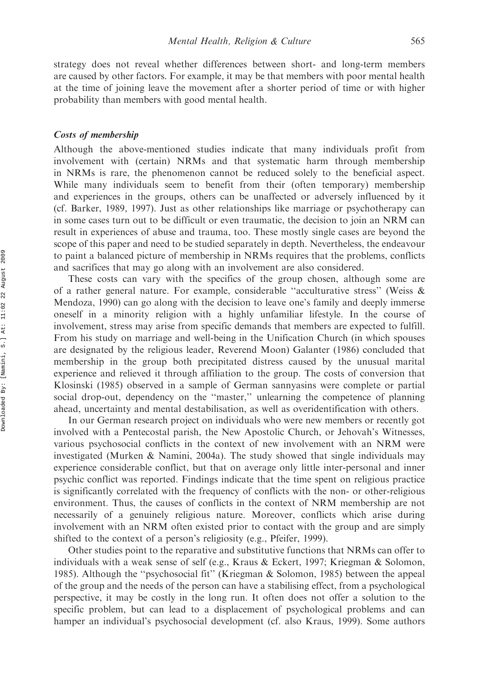strategy does not reveal whether differences between short- and long-term members are caused by other factors. For example, it may be that members with poor mental health at the time of joining leave the movement after a shorter period of time or with higher probability than members with good mental health.

#### Costs of membership

Although the above-mentioned studies indicate that many individuals profit from involvement with (certain) NRMs and that systematic harm through membership in NRMs is rare, the phenomenon cannot be reduced solely to the beneficial aspect. While many individuals seem to benefit from their (often temporary) membership and experiences in the groups, others can be unaffected or adversely influenced by it (cf. Barker, 1989, 1997). Just as other relationships like marriage or psychotherapy can in some cases turn out to be difficult or even traumatic, the decision to join an NRM can result in experiences of abuse and trauma, too. These mostly single cases are beyond the scope of this paper and need to be studied separately in depth. Nevertheless, the endeavour to paint a balanced picture of membership in NRMs requires that the problems, conflicts and sacrifices that may go along with an involvement are also considered.

These costs can vary with the specifics of the group chosen, although some are of a rather general nature. For example, considerable ''acculturative stress'' (Weiss & Mendoza, 1990) can go along with the decision to leave one's family and deeply immerse oneself in a minority religion with a highly unfamiliar lifestyle. In the course of involvement, stress may arise from specific demands that members are expected to fulfill. From his study on marriage and well-being in the Unification Church (in which spouses are designated by the religious leader, Reverend Moon) Galanter (1986) concluded that membership in the group both precipitated distress caused by the unusual marital experience and relieved it through affiliation to the group. The costs of conversion that Klosinski (1985) observed in a sample of German sannyasins were complete or partial social drop-out, dependency on the ''master,'' unlearning the competence of planning ahead, uncertainty and mental destabilisation, as well as overidentification with others.

In our German research project on individuals who were new members or recently got involved with a Pentecostal parish, the New Apostolic Church, or Jehovah's Witnesses, various psychosocial conflicts in the context of new involvement with an NRM were investigated (Murken & Namini, 2004a). The study showed that single individuals may experience considerable conflict, but that on average only little inter-personal and inner psychic conflict was reported. Findings indicate that the time spent on religious practice is significantly correlated with the frequency of conflicts with the non- or other-religious environment. Thus, the causes of conflicts in the context of NRM membership are not necessarily of a genuinely religious nature. Moreover, conflicts which arise during involvement with an NRM often existed prior to contact with the group and are simply shifted to the context of a person's religiosity (e.g., Pfeifer, 1999).

Other studies point to the reparative and substitutive functions that NRMs can offer to individuals with a weak sense of self (e.g., Kraus & Eckert, 1997; Kriegman & Solomon, 1985). Although the ''psychosocial fit'' (Kriegman & Solomon, 1985) between the appeal of the group and the needs of the person can have a stabilising effect, from a psychological perspective, it may be costly in the long run. It often does not offer a solution to the specific problem, but can lead to a displacement of psychological problems and can hamper an individual's psychosocial development (cf. also Kraus, 1999). Some authors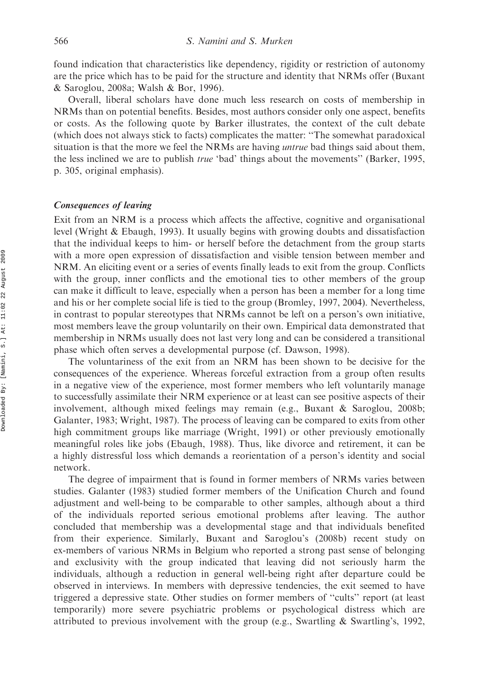found indication that characteristics like dependency, rigidity or restriction of autonomy are the price which has to be paid for the structure and identity that NRMs offer (Buxant & Saroglou, 2008a; Walsh & Bor, 1996).

Overall, liberal scholars have done much less research on costs of membership in NRMs than on potential benefits. Besides, most authors consider only one aspect, benefits or costs. As the following quote by Barker illustrates, the context of the cult debate (which does not always stick to facts) complicates the matter: ''The somewhat paradoxical situation is that the more we feel the NRMs are having *untrue* bad things said about them, the less inclined we are to publish true 'bad' things about the movements'' (Barker, 1995, p. 305, original emphasis).

# Consequences of leaving

Exit from an NRM is a process which affects the affective, cognitive and organisational level (Wright & Ebaugh, 1993). It usually begins with growing doubts and dissatisfaction that the individual keeps to him- or herself before the detachment from the group starts with a more open expression of dissatisfaction and visible tension between member and NRM. An eliciting event or a series of events finally leads to exit from the group. Conflicts with the group, inner conflicts and the emotional ties to other members of the group can make it difficult to leave, especially when a person has been a member for a long time and his or her complete social life is tied to the group (Bromley, 1997, 2004). Nevertheless, in contrast to popular stereotypes that NRMs cannot be left on a person's own initiative, most members leave the group voluntarily on their own. Empirical data demonstrated that membership in NRMs usually does not last very long and can be considered a transitional phase which often serves a developmental purpose (cf. Dawson, 1998).

The voluntariness of the exit from an NRM has been shown to be decisive for the consequences of the experience. Whereas forceful extraction from a group often results in a negative view of the experience, most former members who left voluntarily manage to successfully assimilate their NRM experience or at least can see positive aspects of their involvement, although mixed feelings may remain (e.g., Buxant & Saroglou, 2008b; Galanter, 1983; Wright, 1987). The process of leaving can be compared to exits from other high commitment groups like marriage (Wright, 1991) or other previously emotionally meaningful roles like jobs (Ebaugh, 1988). Thus, like divorce and retirement, it can be a highly distressful loss which demands a reorientation of a person's identity and social network.

The degree of impairment that is found in former members of NRMs varies between studies. Galanter (1983) studied former members of the Unification Church and found adjustment and well-being to be comparable to other samples, although about a third of the individuals reported serious emotional problems after leaving. The author concluded that membership was a developmental stage and that individuals benefited from their experience. Similarly, Buxant and Saroglou's (2008b) recent study on ex-members of various NRMs in Belgium who reported a strong past sense of belonging and exclusivity with the group indicated that leaving did not seriously harm the individuals, although a reduction in general well-being right after departure could be observed in interviews. In members with depressive tendencies, the exit seemed to have triggered a depressive state. Other studies on former members of ''cults'' report (at least temporarily) more severe psychiatric problems or psychological distress which are attributed to previous involvement with the group (e.g., Swartling & Swartling's, 1992,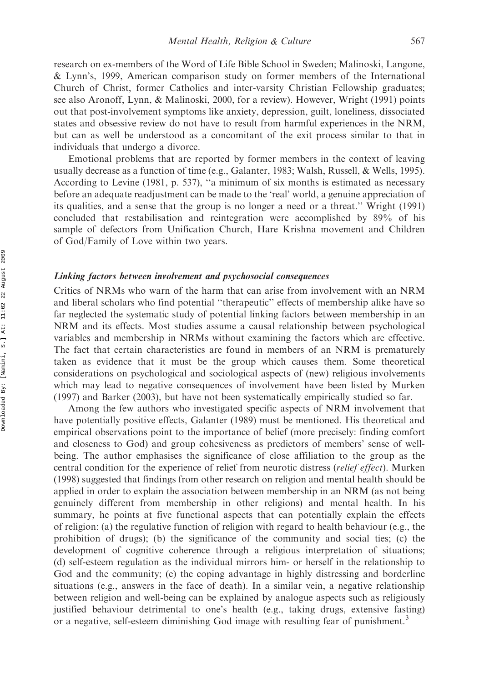research on ex-members of the Word of Life Bible School in Sweden; Malinoski, Langone, & Lynn's, 1999, American comparison study on former members of the International Church of Christ, former Catholics and inter-varsity Christian Fellowship graduates; see also Aronoff, Lynn, & Malinoski, 2000, for a review). However, Wright (1991) points out that post-involvement symptoms like anxiety, depression, guilt, loneliness, dissociated states and obsessive review do not have to result from harmful experiences in the NRM, but can as well be understood as a concomitant of the exit process similar to that in individuals that undergo a divorce.

Emotional problems that are reported by former members in the context of leaving usually decrease as a function of time (e.g., Galanter, 1983; Walsh, Russell, & Wells, 1995). According to Levine (1981, p. 537), ''a minimum of six months is estimated as necessary before an adequate readjustment can be made to the 'real' world, a genuine appreciation of its qualities, and a sense that the group is no longer a need or a threat.'' Wright (1991) concluded that restabilisation and reintegration were accomplished by 89% of his sample of defectors from Unification Church, Hare Krishna movement and Children of God/Family of Love within two years.

# Linking factors between involvement and psychosocial consequences

Critics of NRMs who warn of the harm that can arise from involvement with an NRM and liberal scholars who find potential ''therapeutic'' effects of membership alike have so far neglected the systematic study of potential linking factors between membership in an NRM and its effects. Most studies assume a causal relationship between psychological variables and membership in NRMs without examining the factors which are effective. The fact that certain characteristics are found in members of an NRM is prematurely taken as evidence that it must be the group which causes them. Some theoretical considerations on psychological and sociological aspects of (new) religious involvements which may lead to negative consequences of involvement have been listed by Murken (1997) and Barker (2003), but have not been systematically empirically studied so far.

Among the few authors who investigated specific aspects of NRM involvement that have potentially positive effects, Galanter (1989) must be mentioned. His theoretical and empirical observations point to the importance of belief (more precisely: finding comfort and closeness to God) and group cohesiveness as predictors of members' sense of wellbeing. The author emphasises the significance of close affiliation to the group as the central condition for the experience of relief from neurotic distress (relief effect). Murken (1998) suggested that findings from other research on religion and mental health should be applied in order to explain the association between membership in an NRM (as not being genuinely different from membership in other religions) and mental health. In his summary, he points at five functional aspects that can potentially explain the effects of religion: (a) the regulative function of religion with regard to health behaviour (e.g., the prohibition of drugs); (b) the significance of the community and social ties; (c) the development of cognitive coherence through a religious interpretation of situations; (d) self-esteem regulation as the individual mirrors him- or herself in the relationship to God and the community; (e) the coping advantage in highly distressing and borderline situations (e.g., answers in the face of death). In a similar vein, a negative relationship between religion and well-being can be explained by analogue aspects such as religiously justified behaviour detrimental to one's health (e.g., taking drugs, extensive fasting) or a negative, self-esteem diminishing God image with resulting fear of punishment.<sup>3</sup>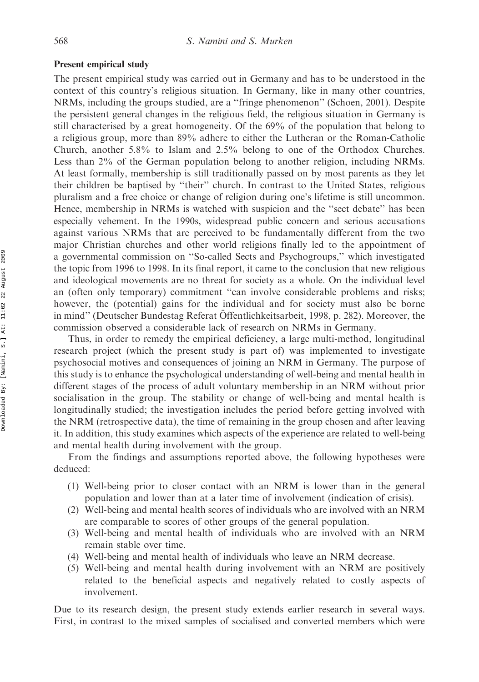# Present empirical study

The present empirical study was carried out in Germany and has to be understood in the context of this country's religious situation. In Germany, like in many other countries, NRMs, including the groups studied, are a ''fringe phenomenon'' (Schoen, 2001). Despite the persistent general changes in the religious field, the religious situation in Germany is still characterised by a great homogeneity. Of the 69% of the population that belong to a religious group, more than 89% adhere to either the Lutheran or the Roman-Catholic Church, another 5.8% to Islam and 2.5% belong to one of the Orthodox Churches. Less than 2% of the German population belong to another religion, including NRMs. At least formally, membership is still traditionally passed on by most parents as they let their children be baptised by ''their'' church. In contrast to the United States, religious pluralism and a free choice or change of religion during one's lifetime is still uncommon. Hence, membership in NRMs is watched with suspicion and the ''sect debate'' has been especially vehement. In the 1990s, widespread public concern and serious accusations against various NRMs that are perceived to be fundamentally different from the two major Christian churches and other world religions finally led to the appointment of a governmental commission on ''So-called Sects and Psychogroups,'' which investigated the topic from 1996 to 1998. In its final report, it came to the conclusion that new religious and ideological movements are no threat for society as a whole. On the individual level an (often only temporary) commitment ''can involve considerable problems and risks; however, the (potential) gains for the individual and for society must also be borne in mind'' (Deutscher Bundestag Referat Öffentlichkeitsarbeit, 1998, p. 282). Moreover, the commission observed a considerable lack of research on NRMs in Germany.

Thus, in order to remedy the empirical deficiency, a large multi-method, longitudinal research project (which the present study is part of) was implemented to investigate psychosocial motives and consequences of joining an NRM in Germany. The purpose of this study is to enhance the psychological understanding of well-being and mental health in different stages of the process of adult voluntary membership in an NRM without prior socialisation in the group. The stability or change of well-being and mental health is longitudinally studied; the investigation includes the period before getting involved with the NRM (retrospective data), the time of remaining in the group chosen and after leaving it. In addition, this study examines which aspects of the experience are related to well-being and mental health during involvement with the group.

From the findings and assumptions reported above, the following hypotheses were deduced:

- (1) Well-being prior to closer contact with an NRM is lower than in the general population and lower than at a later time of involvement (indication of crisis).
- (2) Well-being and mental health scores of individuals who are involved with an NRM are comparable to scores of other groups of the general population.
- (3) Well-being and mental health of individuals who are involved with an NRM remain stable over time.
- (4) Well-being and mental health of individuals who leave an NRM decrease.
- (5) Well-being and mental health during involvement with an NRM are positively related to the beneficial aspects and negatively related to costly aspects of involvement.

Due to its research design, the present study extends earlier research in several ways. First, in contrast to the mixed samples of socialised and converted members which were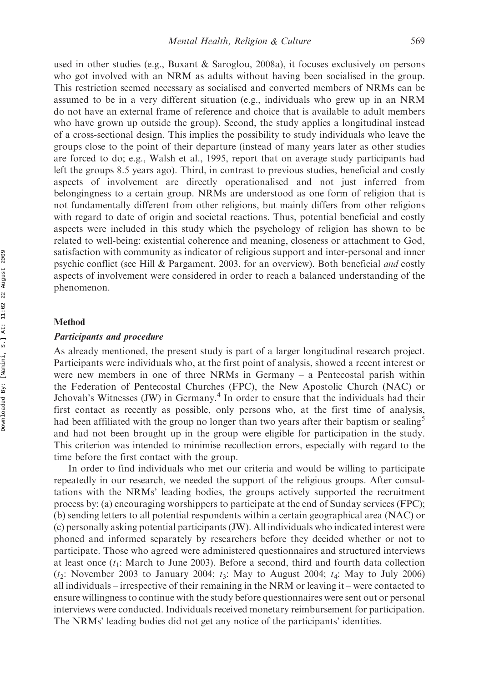used in other studies (e.g., Buxant & Saroglou, 2008a), it focuses exclusively on persons who got involved with an NRM as adults without having been socialised in the group. This restriction seemed necessary as socialised and converted members of NRMs can be assumed to be in a very different situation (e.g., individuals who grew up in an NRM do not have an external frame of reference and choice that is available to adult members who have grown up outside the group). Second, the study applies a longitudinal instead of a cross-sectional design. This implies the possibility to study individuals who leave the groups close to the point of their departure (instead of many years later as other studies are forced to do; e.g., Walsh et al., 1995, report that on average study participants had left the groups 8.5 years ago). Third, in contrast to previous studies, beneficial and costly aspects of involvement are directly operationalised and not just inferred from belongingness to a certain group. NRMs are understood as one form of religion that is not fundamentally different from other religions, but mainly differs from other religions with regard to date of origin and societal reactions. Thus, potential beneficial and costly aspects were included in this study which the psychology of religion has shown to be related to well-being: existential coherence and meaning, closeness or attachment to God, satisfaction with community as indicator of religious support and inter-personal and inner psychic conflict (see Hill & Pargament, 2003, for an overview). Both beneficial and costly aspects of involvement were considered in order to reach a balanced understanding of the phenomenon.

#### Method

# Participants and procedure

As already mentioned, the present study is part of a larger longitudinal research project. Participants were individuals who, at the first point of analysis, showed a recent interest or were new members in one of three NRMs in Germany – a Pentecostal parish within the Federation of Pentecostal Churches (FPC), the New Apostolic Church (NAC) or Jehovah's Witnesses  $JW$  in Germany.<sup>4</sup> In order to ensure that the individuals had their first contact as recently as possible, only persons who, at the first time of analysis, had been affiliated with the group no longer than two years after their baptism or sealing<sup>5</sup> and had not been brought up in the group were eligible for participation in the study. This criterion was intended to minimise recollection errors, especially with regard to the time before the first contact with the group.

In order to find individuals who met our criteria and would be willing to participate repeatedly in our research, we needed the support of the religious groups. After consultations with the NRMs' leading bodies, the groups actively supported the recruitment process by: (a) encouraging worshippers to participate at the end of Sunday services (FPC); (b) sending letters to all potential respondents within a certain geographical area (NAC) or (c) personally asking potential participants (JW). All individuals who indicated interest were phoned and informed separately by researchers before they decided whether or not to participate. Those who agreed were administered questionnaires and structured interviews at least once  $(t_1$ : March to June 2003). Before a second, third and fourth data collection  $(t_2$ : November 2003 to January 2004;  $t_3$ : May to August 2004;  $t_4$ : May to July 2006) all individuals – irrespective of their remaining in the NRM or leaving it – were contacted to ensure willingness to continue with the study before questionnaires were sent out or personal interviews were conducted. Individuals received monetary reimbursement for participation. The NRMs' leading bodies did not get any notice of the participants' identities.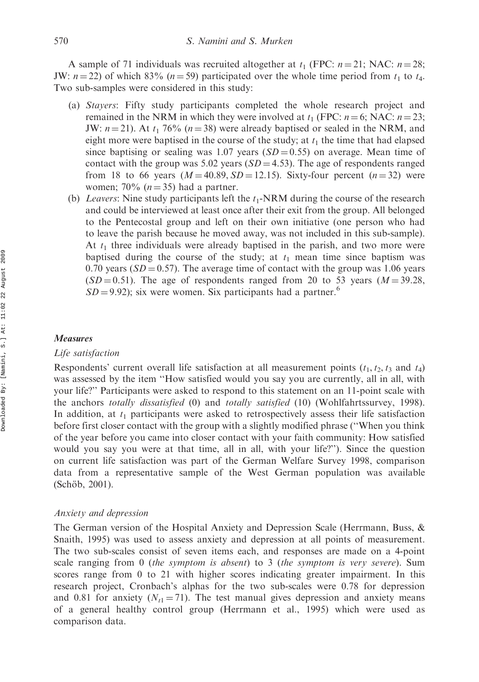A sample of 71 individuals was recruited altogether at  $t_1$  (FPC:  $n = 21$ ; NAC:  $n = 28$ ; JW:  $n = 22$ ) of which 83% ( $n = 59$ ) participated over the whole time period from  $t_1$  to  $t_4$ . Two sub-samples were considered in this study:

- (a) Stayers: Fifty study participants completed the whole research project and remained in the NRM in which they were involved at  $t_1$  (FPC:  $n = 6$ ; NAC:  $n = 23$ ; JW:  $n = 21$ ). At  $t_1$  76% ( $n = 38$ ) were already baptised or sealed in the NRM, and eight more were baptised in the course of the study; at  $t_1$  the time that had elapsed since baptising or sealing was 1.07 years  $(SD = 0.55)$  on average. Mean time of contact with the group was 5.02 years ( $SD = 4.53$ ). The age of respondents ranged from 18 to 66 years  $(M = 40.89, SD = 12.15)$ . Sixty-four percent  $(n = 32)$  were women; 70%  $(n = 35)$  had a partner.
- (b) Leavers: Nine study participants left the  $t_1$ -NRM during the course of the research and could be interviewed at least once after their exit from the group. All belonged to the Pentecostal group and left on their own initiative (one person who had to leave the parish because he moved away, was not included in this sub-sample). At  $t_1$  three individuals were already baptised in the parish, and two more were baptised during the course of the study; at  $t_1$  mean time since baptism was 0.70 years ( $SD = 0.57$ ). The average time of contact with the group was 1.06 years  $(SD = 0.51)$ . The age of respondents ranged from 20 to 53 years ( $M = 39.28$ ,  $SD = 9.92$ ); six were women. Six participants had a partner.<sup>6</sup>

# Measures

## Life satisfaction

Respondents' current overall life satisfaction at all measurement points  $(t_1, t_2, t_3, t_4)$ was assessed by the item ''How satisfied would you say you are currently, all in all, with your life?'' Participants were asked to respond to this statement on an 11-point scale with the anchors totally dissatisfied (0) and totally satisfied (10) (Wohlfahrtssurvey, 1998). In addition, at  $t_1$  participants were asked to retrospectively assess their life satisfaction before first closer contact with the group with a slightly modified phrase (''When you think of the year before you came into closer contact with your faith community: How satisfied would you say you were at that time, all in all, with your life?''). Since the question on current life satisfaction was part of the German Welfare Survey 1998, comparison data from a representative sample of the West German population was available (Schöb, 2001).

# Anxiety and depression

The German version of the Hospital Anxiety and Depression Scale (Herrmann, Buss, & Snaith, 1995) was used to assess anxiety and depression at all points of measurement. The two sub-scales consist of seven items each, and responses are made on a 4-point scale ranging from 0 (the symptom is absent) to 3 (the symptom is very severe). Sum scores range from 0 to 21 with higher scores indicating greater impairment. In this research project, Cronbach's alphas for the two sub-scales were 0.78 for depression and 0.81 for anxiety  $(N<sub>t1</sub> = 71)$ . The test manual gives depression and anxiety means of a general healthy control group (Herrmann et al., 1995) which were used as comparison data.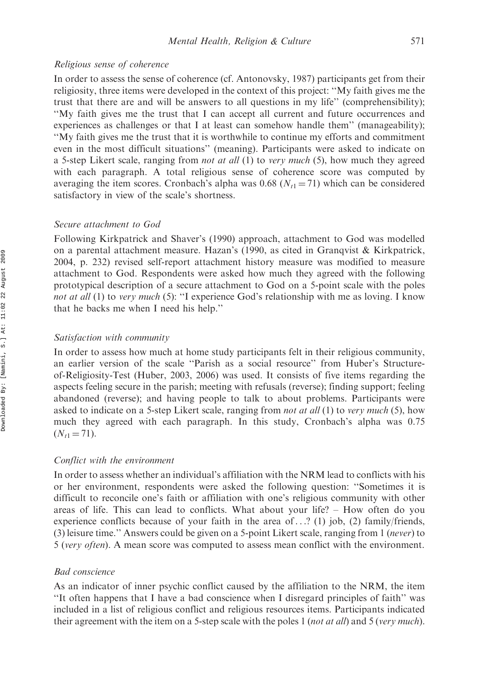# Religious sense of coherence

In order to assess the sense of coherence (cf. Antonovsky, 1987) participants get from their religiosity, three items were developed in the context of this project: ''My faith gives me the trust that there are and will be answers to all questions in my life'' (comprehensibility); ''My faith gives me the trust that I can accept all current and future occurrences and experiences as challenges or that I at least can somehow handle them'' (manageability); ''My faith gives me the trust that it is worthwhile to continue my efforts and commitment even in the most difficult situations'' (meaning). Participants were asked to indicate on a 5-step Likert scale, ranging from *not at all*  $(1)$  to *very much*  $(5)$ , how much they agreed with each paragraph. A total religious sense of coherence score was computed by averaging the item scores. Cronbach's alpha was 0.68 ( $N<sub>tl</sub> = 71$ ) which can be considered satisfactory in view of the scale's shortness.

#### Secure attachment to God

Following Kirkpatrick and Shaver's (1990) approach, attachment to God was modelled on a parental attachment measure. Hazan's (1990, as cited in Granqvist & Kirkpatrick, 2004, p. 232) revised self-report attachment history measure was modified to measure attachment to God. Respondents were asked how much they agreed with the following prototypical description of a secure attachment to God on a 5-point scale with the poles not at all  $(1)$  to very much  $(5)$ : "I experience God's relationship with me as loving. I know that he backs me when I need his help.''

#### Satisfaction with community

In order to assess how much at home study participants felt in their religious community, an earlier version of the scale ''Parish as a social resource'' from Huber's Structureof-Religiosity-Test (Huber, 2003, 2006) was used. It consists of five items regarding the aspects feeling secure in the parish; meeting with refusals (reverse); finding support; feeling abandoned (reverse); and having people to talk to about problems. Participants were asked to indicate on a 5-step Likert scale, ranging from *not at all* (1) to *very much* (5), how much they agreed with each paragraph. In this study, Cronbach's alpha was 0.75  $(N_{t1} = 71)$ .

## Conflict with the environment

In order to assess whether an individual's affiliation with the NRM lead to conflicts with his or her environment, respondents were asked the following question: ''Sometimes it is difficult to reconcile one's faith or affiliation with one's religious community with other areas of life. This can lead to conflicts. What about your life? – How often do you experience conflicts because of your faith in the area of...? (1) job, (2) family/friends, (3) leisure time.'' Answers could be given on a 5-point Likert scale, ranging from 1 (never) to 5 (very often). A mean score was computed to assess mean conflict with the environment.

# Bad conscience

As an indicator of inner psychic conflict caused by the affiliation to the NRM, the item ''It often happens that I have a bad conscience when I disregard principles of faith'' was included in a list of religious conflict and religious resources items. Participants indicated their agreement with the item on a 5-step scale with the poles 1 (not at all) and 5 (very much).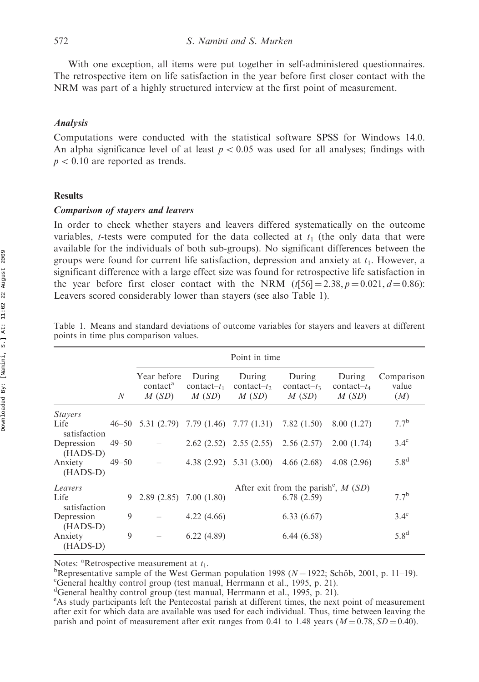With one exception, all items were put together in self-administered questionnaires. The retrospective item on life satisfaction in the year before first closer contact with the NRM was part of a highly structured interview at the first point of measurement.

# Analysis

Computations were conducted with the statistical software SPSS for Windows 14.0. An alpha significance level of at least  $p<0.05$  was used for all analyses; findings with  $p < 0.10$  are reported as trends.

# **Results**

# Comparison of stayers and leavers

In order to check whether stayers and leavers differed systematically on the outcome variables, *t*-tests were computed for the data collected at  $t_1$  (the only data that were available for the individuals of both sub-groups). No significant differences between the groups were found for current life satisfaction, depression and anxiety at  $t_1$ . However, a significant difference with a large effect size was found for retrospective life satisfaction in the year before first closer contact with the NRM  $(t[56] = 2.38, p = 0.021, d = 0.86)$ : Leavers scored considerably lower than stayers (see also Table 1).

|                          |           |                                              |                                  | Point in time                   |                                                   |                                   |                            |
|--------------------------|-----------|----------------------------------------------|----------------------------------|---------------------------------|---------------------------------------------------|-----------------------------------|----------------------------|
|                          | N         | Year before<br>contact <sup>a</sup><br>M(SD) | During<br>$contact-t_1$<br>M(SD) | During<br>$contact-t2$<br>M(SD) | During<br>$contact-t_3$<br>M(SD)                  | During<br>contact- $t_4$<br>M(SD) | Comparison<br>value<br>(M) |
| <i>Stayers</i>           |           |                                              |                                  |                                 |                                                   |                                   |                            |
| Life<br>satisfaction     |           | $46-50$ 5.31 (2.79) 7.79 (1.46) 7.77 (1.31)  |                                  |                                 | 7.82 (1.50)                                       | 8.00 (1.27)                       | $7.7^{b}$                  |
| Depression<br>$(HADS-D)$ | $49 - 50$ |                                              |                                  |                                 | $2.62(2.52)$ $2.55(2.55)$ $2.56(2.57)$            | 2.00(1.74)                        | $3.4^\circ$                |
| Anxiety<br>$(HADS-D)$    | $49 - 50$ |                                              |                                  |                                 | 4.38 $(2.92)$ 5.31 $(3.00)$ 4.66 $(2.68)$         | 4.08(2.96)                        | 5.8 <sup>d</sup>           |
| Leavers                  |           |                                              |                                  |                                 | After exit from the parish <sup>e</sup> , $M(SD)$ |                                   |                            |
| Life<br>satisfaction     | 9         | $2.89(2.85)$ $7.00(1.80)$                    |                                  |                                 | 6.78(2.59)                                        |                                   | $7.7^{b}$                  |
| Depression<br>$(HADS-D)$ | 9         |                                              | 4.22(4.66)                       |                                 | 6.33(6.67)                                        |                                   | $3.4^\circ$                |
| Anxiety<br>$(HADS-D)$    | 9         |                                              | 6.22(4.89)                       |                                 | 6.44(6.58)                                        |                                   | 5.8 <sup>d</sup>           |

Table 1. Means and standard deviations of outcome variables for stayers and leavers at different points in time plus comparison values.

Notes: <sup>a</sup>Retrospective measurement at  $t_1$ .<br>bRepresentative sample of the West Germ

<sup>b</sup>Representative sample of the West German population 1998 ( $N = 1922$ ; Schöb, 2001, p. 11–19).

General healthy control group (test manual, Herrmann et al., 1995, p. 21).

<sup>d</sup>General healthy control group (test manual, Herrmann et al., 1995, p. 21).

e As study participants left the Pentecostal parish at different times, the next point of measurement after exit for which data are available was used for each individual. Thus, time between leaving the parish and point of measurement after exit ranges from 0.41 to 1.48 years ( $M = 0.78$ ,  $SD = 0.40$ ).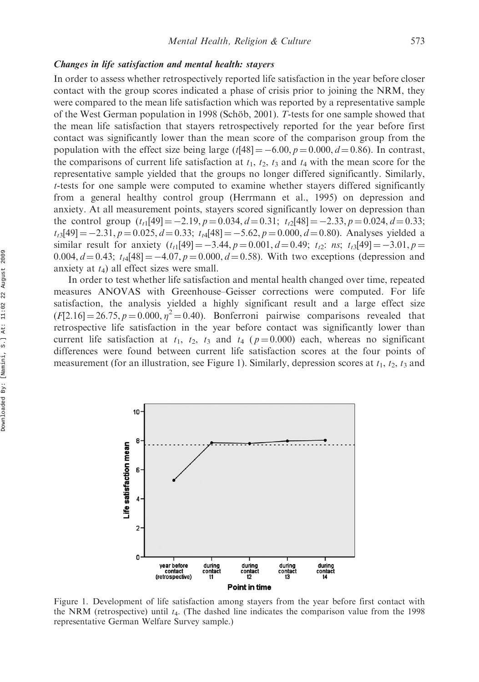# Changes in life satisfaction and mental health: stayers

In order to assess whether retrospectively reported life satisfaction in the year before closer contact with the group scores indicated a phase of crisis prior to joining the NRM, they were compared to the mean life satisfaction which was reported by a representative sample of the West German population in 1998 (Schöb, 2001). T-tests for one sample showed that the mean life satisfaction that stayers retrospectively reported for the year before first contact was significantly lower than the mean score of the comparison group from the population with the effect size being large  $(t[48] = -6.00, p = 0.000, d = 0.86)$ . In contrast, the comparisons of current life satisfaction at  $t_1$ ,  $t_2$ ,  $t_3$  and  $t_4$  with the mean score for the representative sample yielded that the groups no longer differed significantly. Similarly, t-tests for one sample were computed to examine whether stayers differed significantly from a general healthy control group (Herrmann et al., 1995) on depression and anxiety. At all measurement points, stayers scored significantly lower on depression than the control group  $(t_{t1}[49] = -2.19, p = 0.034, d = 0.31; t_{t2}[48] = -2.33, p = 0.024, d = 0.33;$  $t_{t3}[49] = -2.31, p = 0.025, d = 0.33; t_{t4}[48] = -5.62, p = 0.000, d = 0.80$ . Analyses yielded a similar result for anxiety  $(t_{t1}[49] = -3.44, p = 0.001, d = 0.49; t_{t2}: ns; t_{t3}[49] = -3.01, p =$ 0.004,  $d = 0.43$ ;  $t_{14}[48] = -4.07$ ,  $p = 0.000$ ,  $d = 0.58$ ). With two exceptions (depression and anxiety at  $t_4$ ) all effect sizes were small.

In order to test whether life satisfaction and mental health changed over time, repeated measures ANOVAS with Greenhouse–Geisser corrections were computed. For life satisfaction, the analysis yielded a highly significant result and a large effect size  $(F[2.16] = 26.75, p = 0.000, \eta^2 = 0.40)$ . Bonferroni pairwise comparisons revealed that retrospective life satisfaction in the year before contact was significantly lower than current life satisfaction at  $t_1$ ,  $t_2$ ,  $t_3$  and  $t_4$  ( $p=0.000$ ) each, whereas no significant differences were found between current life satisfaction scores at the four points of measurement (for an illustration, see Figure 1). Similarly, depression scores at  $t_1$ ,  $t_2$ ,  $t_3$  and



Figure 1. Development of life satisfaction among stayers from the year before first contact with the NRM (retrospective) until  $t_4$ . (The dashed line indicates the comparison value from the 1998 representative German Welfare Survey sample.)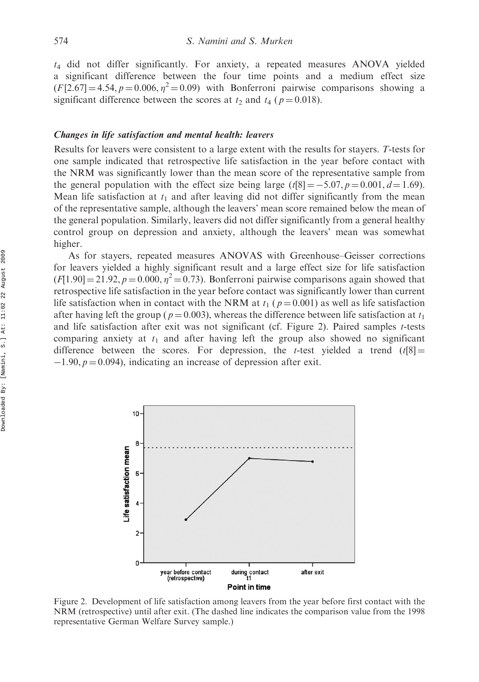$t_4$  did not differ significantly. For anxiety, a repeated measures ANOVA yielded a significant difference between the four time points and a medium effect size  $(F[2.67] = 4.54, p = 0.006, \eta^2 = 0.09)$  with Bonferroni pairwise comparisons showing a significant difference between the scores at  $t_2$  and  $t_4$  ( $p = 0.018$ ).

#### Changes in life satisfaction and mental health: leavers

Results for leavers were consistent to a large extent with the results for stayers. T-tests for one sample indicated that retrospective life satisfaction in the year before contact with the NRM was significantly lower than the mean score of the representative sample from the general population with the effect size being large  $(t[8] = -5.07, p = 0.001, d = 1.69)$ . Mean life satisfaction at  $t_1$  and after leaving did not differ significantly from the mean of the representative sample, although the leavers' mean score remained below the mean of the general population. Similarly, leavers did not differ significantly from a general healthy control group on depression and anxiety, although the leavers' mean was somewhat higher.

As for stayers, repeated measures ANOVAS with Greenhouse–Geisser corrections for leavers yielded a highly significant result and a large effect size for life satisfaction  $[F[1.90] = 21.92, p = 0.000, \eta^2 = 0.73)$ . Bonferroni pairwise comparisons again showed that retrospective life satisfaction in the year before contact was significantly lower than current life satisfaction when in contact with the NRM at  $t_1$  ( $p = 0.001$ ) as well as life satisfaction after having left the group ( $p = 0.003$ ), whereas the difference between life satisfaction at  $t_1$ and life satisfaction after exit was not significant (cf. Figure 2). Paired samples  $t$ -tests comparing anxiety at  $t_1$  and after having left the group also showed no significant difference between the scores. For depression, the *t*-test yielded a trend ( $t[8] =$  $-1.90, p = 0.094$ ), indicating an increase of depression after exit.



Figure 2. Development of life satisfaction among leavers from the year before first contact with the NRM (retrospective) until after exit. (The dashed line indicates the comparison value from the 1998 representative German Welfare Survey sample.)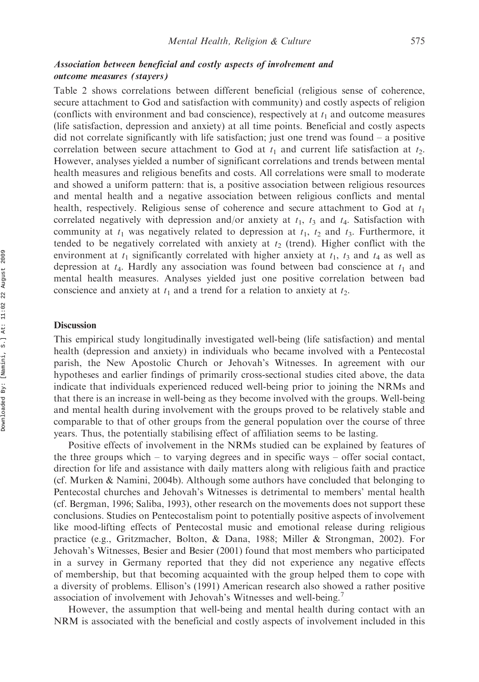# Association between beneficial and costly aspects of involvement and outcome measures (stayers)

Table 2 shows correlations between different beneficial (religious sense of coherence, secure attachment to God and satisfaction with community) and costly aspects of religion (conflicts with environment and bad conscience), respectively at  $t_1$  and outcome measures (life satisfaction, depression and anxiety) at all time points. Beneficial and costly aspects did not correlate significantly with life satisfaction; just one trend was found  $-$  a positive correlation between secure attachment to God at  $t_1$  and current life satisfaction at  $t_2$ . However, analyses yielded a number of significant correlations and trends between mental health measures and religious benefits and costs. All correlations were small to moderate and showed a uniform pattern: that is, a positive association between religious resources and mental health and a negative association between religious conflicts and mental health, respectively. Religious sense of coherence and secure attachment to God at  $t_1$ correlated negatively with depression and/or anxiety at  $t_1$ ,  $t_3$  and  $t_4$ . Satisfaction with community at  $t_1$  was negatively related to depression at  $t_1$ ,  $t_2$  and  $t_3$ . Furthermore, it tended to be negatively correlated with anxiety at  $t_2$  (trend). Higher conflict with the environment at  $t_1$  significantly correlated with higher anxiety at  $t_1$ ,  $t_3$  and  $t_4$  as well as depression at  $t_4$ . Hardly any association was found between bad conscience at  $t_1$  and mental health measures. Analyses yielded just one positive correlation between bad conscience and anxiety at  $t_1$  and a trend for a relation to anxiety at  $t_2$ .

#### **Discussion**

This empirical study longitudinally investigated well-being (life satisfaction) and mental health (depression and anxiety) in individuals who became involved with a Pentecostal parish, the New Apostolic Church or Jehovah's Witnesses. In agreement with our hypotheses and earlier findings of primarily cross-sectional studies cited above, the data indicate that individuals experienced reduced well-being prior to joining the NRMs and that there is an increase in well-being as they become involved with the groups. Well-being and mental health during involvement with the groups proved to be relatively stable and comparable to that of other groups from the general population over the course of three years. Thus, the potentially stabilising effect of affiliation seems to be lasting.

Positive effects of involvement in the NRMs studied can be explained by features of the three groups which – to varying degrees and in specific ways – offer social contact, direction for life and assistance with daily matters along with religious faith and practice (cf. Murken & Namini, 2004b). Although some authors have concluded that belonging to Pentecostal churches and Jehovah's Witnesses is detrimental to members' mental health (cf. Bergman, 1996; Saliba, 1993), other research on the movements does not support these conclusions. Studies on Pentecostalism point to potentially positive aspects of involvement like mood-lifting effects of Pentecostal music and emotional release during religious practice (e.g., Gritzmacher, Bolton, & Dana, 1988; Miller & Strongman, 2002). For Jehovah's Witnesses, Besier and Besier (2001) found that most members who participated in a survey in Germany reported that they did not experience any negative effects of membership, but that becoming acquainted with the group helped them to cope with a diversity of problems. Ellison's (1991) American research also showed a rather positive association of involvement with Jehovah's Witnesses and well-being.<sup>7</sup>

However, the assumption that well-being and mental health during contact with an NRM is associated with the beneficial and costly aspects of involvement included in this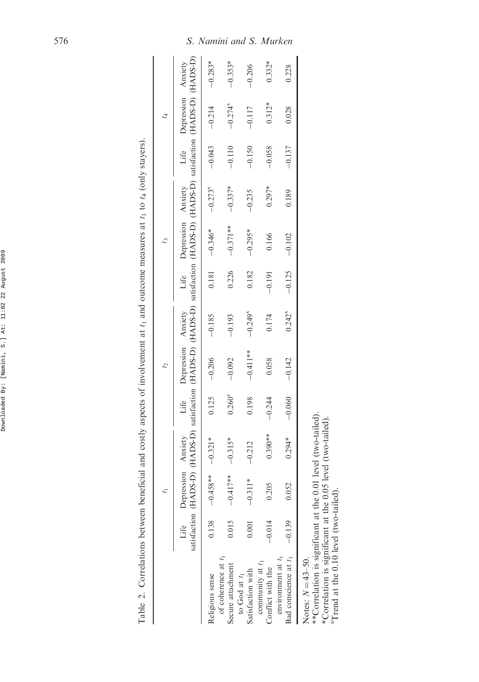|                                                                                        |          |                                                                                                                                               |           |          | $\overline{c}$     |              |          | $\mathcal{L}_3$    |              |          | $\overline{u}$     |           |
|----------------------------------------------------------------------------------------|----------|-----------------------------------------------------------------------------------------------------------------------------------------------|-----------|----------|--------------------|--------------|----------|--------------------|--------------|----------|--------------------|-----------|
|                                                                                        |          | satisfaction (HADS-D) (HADS-D) satisfaction (HADS-D) satisfaction (HADS-D) (HADS-D) satisfaction (HADS-D) (HADS-D)<br>Life Depression Anxiety |           | Life     | Depression Anxiety |              | Life     | Depression Anxiety |              | Life     | Depression Anxiety |           |
| Religious sense                                                                        | 0.138    | $-0.458**$                                                                                                                                    | $-0.321*$ | 0.125    | $-0.206$           | $-0.185$     | 0.181    | $-0.346*$          | $-0.273^{x}$ | $-0.043$ | $-0.214$           | $-0.283*$ |
| of coherence at $t_1$<br>Secure attachment                                             | 0.015    | $-0.417**$                                                                                                                                    | $-0.315*$ | $0.260*$ | $-0.092$           | $-0.193$     | 0.226    | $-0.371**$         | $-0.337*$    | $-0.110$ | $-0.274^{x}$       | $-0.353*$ |
| Satisfaction with<br>to God at $t_1$                                                   | 0.001    | $-0.311*$                                                                                                                                     | $-0.212$  | 0.198    | $-0.411**$         | $-0.249^{x}$ | 0.182    | $-0.295*$          | $-0.235$     | $-0.150$ | $-0.117$           | $-0.206$  |
| community at $t_1$<br>Conflict with the                                                | $-0.014$ | 0.205                                                                                                                                         | $0.390**$ | $-0.244$ | 0.058              | 0.174        | $-0.191$ | 0.166              | $0.297*$     | $-0.058$ | $0.312*$           | $0.332*$  |
| Bad conscience at t <sub>1</sub><br>environment at t <sub>1</sub>                      | $-0.139$ | 0.052                                                                                                                                         | $0.294*$  | $-0.060$ | $-0.142$           | $0.242^{x}$  | $-0.125$ | $-0.102$           | 0.189        | $-0.137$ | 0.028              | 0.228     |
| **Correlation is significant at the 0.01 level (two-tailed).<br>Notes: $N = 43 - 50$ . |          |                                                                                                                                               |           |          |                    |              |          |                    |              |          |                    |           |

| ï<br>ì<br>i                                |
|--------------------------------------------|
| İ                                          |
| į<br>i                                     |
| ١                                          |
| ļ                                          |
|                                            |
| ł                                          |
| $\ddot{\cdot}$                             |
|                                            |
|                                            |
| ž<br>I                                     |
| i                                          |
| CIIMAC                                     |
|                                            |
| --------<br>i.an                           |
| Ş                                          |
| 1                                          |
| C.C.LO<br>ì<br>i                           |
| š                                          |
| $\frac{1}{2}$                              |
| j<br>ţ                                     |
| ¢<br>į                                     |
|                                            |
| š                                          |
| I                                          |
| į.<br>$\frac{1}{2}$                        |
|                                            |
| ċ<br>ζ                                     |
| $\sim$<br>í                                |
| Σă                                         |
|                                            |
| Ï                                          |
| $\frac{1}{2}$                              |
| ì<br>ţ                                     |
| i<br>١                                     |
|                                            |
| $\frac{1}{2}$<br>$\frac{1}{\epsilon}$<br>í |
| $\ddot{\zeta}$<br>١                        |
| j<br>ł                                     |
| ì<br>į                                     |
|                                            |
| l                                          |
| ï                                          |
| ļ                                          |
| Ś<br>١                                     |
|                                            |
| <b>DEC VIA</b>                             |
| $2 + 7$                                    |
| j<br>Ś                                     |
| ţ                                          |
| ĉ<br>Í                                     |
| ֖֖֦֦֦֦֦֪֪֪ׅ֦֪ׅ֖֪֪֪֦֪֪֦֚֚֚֚֚֚֚֚֡֝֬֝֬֝֬֝֓֬֝֬ |
| ä                                          |
| į<br>i                                     |
| Ì<br>١                                     |
|                                            |
| i<br>ť                                     |
| ble                                        |
| $\overline{\mathbf{a}}$                    |
| ŀ                                          |

\*Correlation is significant at the 0.05 level (two-tailed).<br><sup>x</sup>Trend at the 0.10 level (two-tailed). \*Correlation is significant at the 0.05 level (two-tailed). xTrend at the 0.10 level (two-tailed).

Downloaded By: [Namini, S.] At: 11:02 22 August 2009

Downloaded By: [Namini, S.] At: 11:02 22 August 2009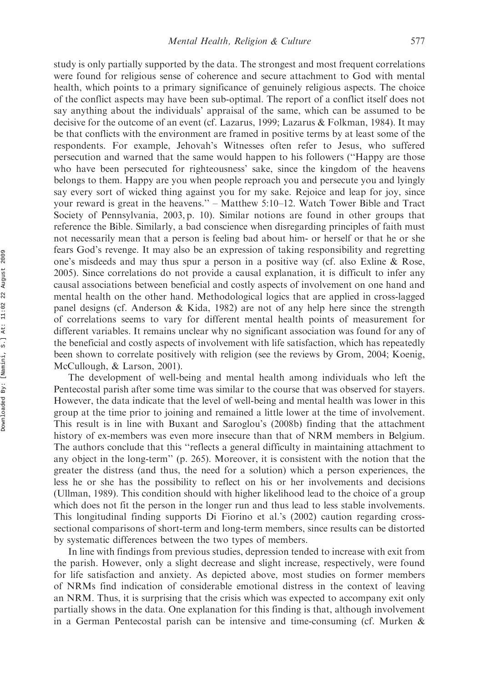study is only partially supported by the data. The strongest and most frequent correlations were found for religious sense of coherence and secure attachment to God with mental health, which points to a primary significance of genuinely religious aspects. The choice of the conflict aspects may have been sub-optimal. The report of a conflict itself does not say anything about the individuals' appraisal of the same, which can be assumed to be decisive for the outcome of an event (cf. Lazarus, 1999; Lazarus & Folkman, 1984). It may be that conflicts with the environment are framed in positive terms by at least some of the respondents. For example, Jehovah's Witnesses often refer to Jesus, who suffered persecution and warned that the same would happen to his followers (''Happy are those who have been persecuted for righteousness' sake, since the kingdom of the heavens belongs to them. Happy are you when people reproach you and persecute you and lyingly say every sort of wicked thing against you for my sake. Rejoice and leap for joy, since your reward is great in the heavens.'' – Matthew 5:10–12. Watch Tower Bible and Tract Society of Pennsylvania, 2003, p. 10). Similar notions are found in other groups that reference the Bible. Similarly, a bad conscience when disregarding principles of faith must not necessarily mean that a person is feeling bad about him- or herself or that he or she fears God's revenge. It may also be an expression of taking responsibility and regretting one's misdeeds and may thus spur a person in a positive way (cf. also Exline & Rose, 2005). Since correlations do not provide a causal explanation, it is difficult to infer any causal associations between beneficial and costly aspects of involvement on one hand and mental health on the other hand. Methodological logics that are applied in cross-lagged panel designs (cf. Anderson  $\&$  Kida, 1982) are not of any help here since the strength of correlations seems to vary for different mental health points of measurement for different variables. It remains unclear why no significant association was found for any of the beneficial and costly aspects of involvement with life satisfaction, which has repeatedly been shown to correlate positively with religion (see the reviews by Grom, 2004; Koenig, McCullough, & Larson, 2001).

The development of well-being and mental health among individuals who left the Pentecostal parish after some time was similar to the course that was observed for stayers. However, the data indicate that the level of well-being and mental health was lower in this group at the time prior to joining and remained a little lower at the time of involvement. This result is in line with Buxant and Saroglou's (2008b) finding that the attachment history of ex-members was even more insecure than that of NRM members in Belgium. The authors conclude that this ''reflects a general difficulty in maintaining attachment to any object in the long-term'' (p. 265). Moreover, it is consistent with the notion that the greater the distress (and thus, the need for a solution) which a person experiences, the less he or she has the possibility to reflect on his or her involvements and decisions (Ullman, 1989). This condition should with higher likelihood lead to the choice of a group which does not fit the person in the longer run and thus lead to less stable involvements. This longitudinal finding supports Di Fiorino et al.'s (2002) caution regarding crosssectional comparisons of short-term and long-term members, since results can be distorted by systematic differences between the two types of members.

In line with findings from previous studies, depression tended to increase with exit from the parish. However, only a slight decrease and slight increase, respectively, were found for life satisfaction and anxiety. As depicted above, most studies on former members of NRMs find indication of considerable emotional distress in the context of leaving an NRM. Thus, it is surprising that the crisis which was expected to accompany exit only partially shows in the data. One explanation for this finding is that, although involvement in a German Pentecostal parish can be intensive and time-consuming (cf. Murken &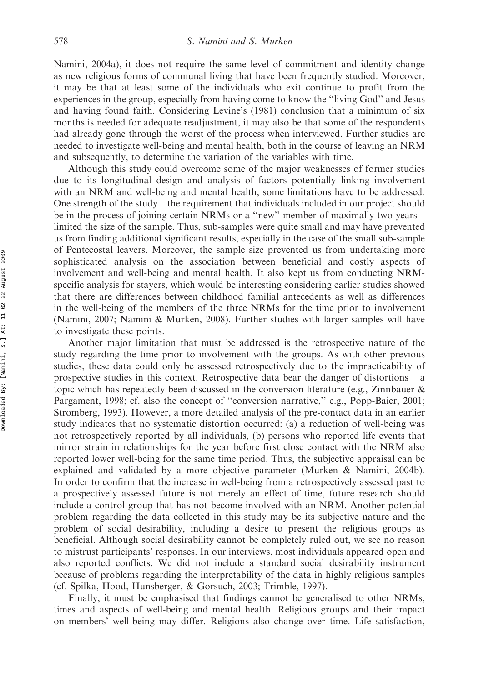Namini, 2004a), it does not require the same level of commitment and identity change as new religious forms of communal living that have been frequently studied. Moreover, it may be that at least some of the individuals who exit continue to profit from the experiences in the group, especially from having come to know the ''living God'' and Jesus and having found faith. Considering Levine's (1981) conclusion that a minimum of six months is needed for adequate readjustment, it may also be that some of the respondents had already gone through the worst of the process when interviewed. Further studies are needed to investigate well-being and mental health, both in the course of leaving an NRM and subsequently, to determine the variation of the variables with time.

Although this study could overcome some of the major weaknesses of former studies due to its longitudinal design and analysis of factors potentially linking involvement with an NRM and well-being and mental health, some limitations have to be addressed. One strength of the study – the requirement that individuals included in our project should be in the process of joining certain NRMs or a ''new'' member of maximally two years – limited the size of the sample. Thus, sub-samples were quite small and may have prevented us from finding additional significant results, especially in the case of the small sub-sample of Pentecostal leavers. Moreover, the sample size prevented us from undertaking more sophisticated analysis on the association between beneficial and costly aspects of involvement and well-being and mental health. It also kept us from conducting NRMspecific analysis for stayers, which would be interesting considering earlier studies showed that there are differences between childhood familial antecedents as well as differences in the well-being of the members of the three NRMs for the time prior to involvement (Namini, 2007; Namini & Murken, 2008). Further studies with larger samples will have to investigate these points.

Another major limitation that must be addressed is the retrospective nature of the study regarding the time prior to involvement with the groups. As with other previous studies, these data could only be assessed retrospectively due to the impracticability of prospective studies in this context. Retrospective data bear the danger of distortions – a topic which has repeatedly been discussed in the conversion literature (e.g., Zinnbauer  $\&$ Pargament, 1998; cf. also the concept of ''conversion narrative,'' e.g., Popp-Baier, 2001; Stromberg, 1993). However, a more detailed analysis of the pre-contact data in an earlier study indicates that no systematic distortion occurred: (a) a reduction of well-being was not retrospectively reported by all individuals, (b) persons who reported life events that mirror strain in relationships for the year before first close contact with the NRM also reported lower well-being for the same time period. Thus, the subjective appraisal can be explained and validated by a more objective parameter (Murken & Namini, 2004b). In order to confirm that the increase in well-being from a retrospectively assessed past to a prospectively assessed future is not merely an effect of time, future research should include a control group that has not become involved with an NRM. Another potential problem regarding the data collected in this study may be its subjective nature and the problem of social desirability, including a desire to present the religious groups as beneficial. Although social desirability cannot be completely ruled out, we see no reason to mistrust participants' responses. In our interviews, most individuals appeared open and also reported conflicts. We did not include a standard social desirability instrument because of problems regarding the interpretability of the data in highly religious samples (cf. Spilka, Hood, Hunsberger, & Gorsuch, 2003; Trimble, 1997).

Finally, it must be emphasised that findings cannot be generalised to other NRMs, times and aspects of well-being and mental health. Religious groups and their impact on members' well-being may differ. Religions also change over time. Life satisfaction,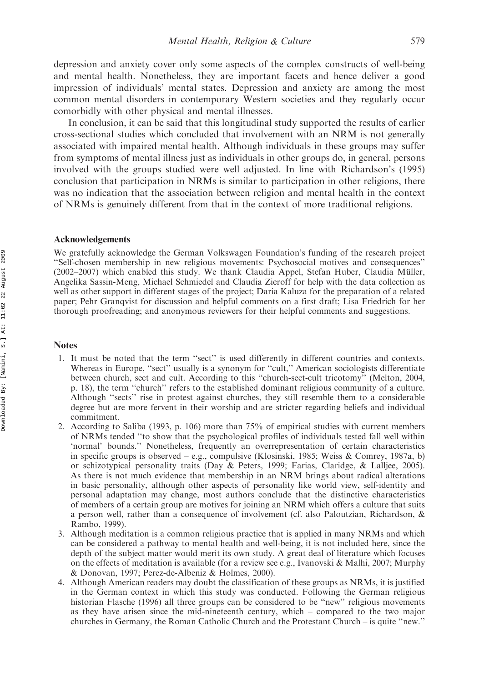depression and anxiety cover only some aspects of the complex constructs of well-being and mental health. Nonetheless, they are important facets and hence deliver a good impression of individuals' mental states. Depression and anxiety are among the most common mental disorders in contemporary Western societies and they regularly occur comorbidly with other physical and mental illnesses.

In conclusion, it can be said that this longitudinal study supported the results of earlier cross-sectional studies which concluded that involvement with an NRM is not generally associated with impaired mental health. Although individuals in these groups may suffer from symptoms of mental illness just as individuals in other groups do, in general, persons involved with the groups studied were well adjusted. In line with Richardson's (1995) conclusion that participation in NRMs is similar to participation in other religions, there was no indication that the association between religion and mental health in the context of NRMs is genuinely different from that in the context of more traditional religions.

# Acknowledgements

We gratefully acknowledge the German Volkswagen Foundation's funding of the research project ''Self-chosen membership in new religious movements: Psychosocial motives and consequences'' (2002–2007) which enabled this study. We thank Claudia Appel, Stefan Huber, Claudia Müller, Angelika Sassin-Meng, Michael Schmiedel and Claudia Zieroff for help with the data collection as well as other support in different stages of the project; Daria Kaluza for the preparation of a related paper; Pehr Granqvist for discussion and helpful comments on a first draft; Lisa Friedrich for her thorough proofreading; and anonymous reviewers for their helpful comments and suggestions.

## **Notes**

- 1. It must be noted that the term ''sect'' is used differently in different countries and contexts. Whereas in Europe, ''sect'' usually is a synonym for ''cult,'' American sociologists differentiate between church, sect and cult. According to this ''church-sect-cult tricotomy'' (Melton, 2004, p. 18), the term ''church'' refers to the established dominant religious community of a culture. Although ''sects'' rise in protest against churches, they still resemble them to a considerable degree but are more fervent in their worship and are stricter regarding beliefs and individual commitment.
- 2. According to Saliba (1993, p. 106) more than 75% of empirical studies with current members of NRMs tended ''to show that the psychological profiles of individuals tested fall well within 'normal' bounds.'' Nonetheless, frequently an overrepresentation of certain characteristics in specific groups is observed – e.g., compulsive (Klosinski, 1985; Weiss & Comrey, 1987a, b) or schizotypical personality traits (Day & Peters, 1999; Farias, Claridge, & Lalljee, 2005). As there is not much evidence that membership in an NRM brings about radical alterations in basic personality, although other aspects of personality like world view, self-identity and personal adaptation may change, most authors conclude that the distinctive characteristics of members of a certain group are motives for joining an NRM which offers a culture that suits a person well, rather than a consequence of involvement (cf. also Paloutzian, Richardson, & Rambo, 1999).
- 3. Although meditation is a common religious practice that is applied in many NRMs and which can be considered a pathway to mental health and well-being, it is not included here, since the depth of the subject matter would merit its own study. A great deal of literature which focuses on the effects of meditation is available (for a review see e.g., Ivanovski & Malhi, 2007; Murphy & Donovan, 1997; Perez-de-Albeniz & Holmes, 2000).
- 4. Although American readers may doubt the classification of these groups as NRMs, it is justified in the German context in which this study was conducted. Following the German religious historian Flasche (1996) all three groups can be considered to be ''new'' religious movements as they have arisen since the mid-nineteenth century, which – compared to the two major churches in Germany, the Roman Catholic Church and the Protestant Church – is quite ''new.''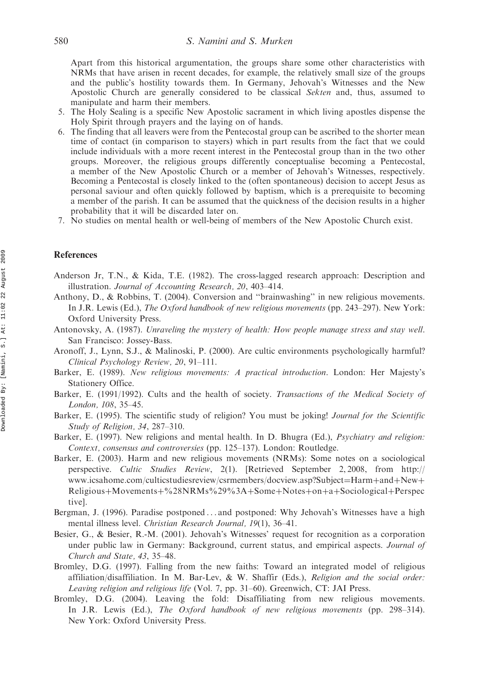Apart from this historical argumentation, the groups share some other characteristics with NRMs that have arisen in recent decades, for example, the relatively small size of the groups and the public's hostility towards them. In Germany, Jehovah's Witnesses and the New Apostolic Church are generally considered to be classical Sekten and, thus, assumed to manipulate and harm their members.

- 5. The Holy Sealing is a specific New Apostolic sacrament in which living apostles dispense the Holy Spirit through prayers and the laying on of hands.
- 6. The finding that all leavers were from the Pentecostal group can be ascribed to the shorter mean time of contact (in comparison to stayers) which in part results from the fact that we could include individuals with a more recent interest in the Pentecostal group than in the two other groups. Moreover, the religious groups differently conceptualise becoming a Pentecostal, a member of the New Apostolic Church or a member of Jehovah's Witnesses, respectively. Becoming a Pentecostal is closely linked to the (often spontaneous) decision to accept Jesus as personal saviour and often quickly followed by baptism, which is a prerequisite to becoming a member of the parish. It can be assumed that the quickness of the decision results in a higher probability that it will be discarded later on.
- 7. No studies on mental health or well-being of members of the New Apostolic Church exist.

# References

- Anderson Jr, T.N., & Kida, T.E. (1982). The cross-lagged research approach: Description and illustration. Journal of Accounting Research, 20, 403–414.
- Anthony, D., & Robbins, T. (2004). Conversion and ''brainwashing'' in new religious movements. In J.R. Lewis (Ed.), *The Oxford handbook of new religious movements* (pp. 243–297). New York: Oxford University Press.
- Antonovsky, A. (1987). Unraveling the mystery of health: How people manage stress and stay well. San Francisco: Jossey-Bass.
- Aronoff, J., Lynn, S.J., & Malinoski, P. (2000). Are cultic environments psychologically harmful? Clinical Psychology Review, 20, 91–111.
- Barker, E. (1989). New religious movements: A practical introduction. London: Her Majesty's Stationery Office.
- Barker, E. (1991/1992). Cults and the health of society. Transactions of the Medical Society of London, 108, 35–45.
- Barker, E. (1995). The scientific study of religion? You must be joking! Journal for the Scientific Study of Religion, 34, 287–310.
- Barker, E. (1997). New religions and mental health. In D. Bhugra (Ed.), *Psychiatry and religion:* Context, consensus and controversies (pp. 125–137). London: Routledge.
- Barker, E. (2003). Harm and new religious movements (NRMs): Some notes on a sociological perspective. Cultic Studies Review, 2(1). [Retrieved September 2, 2008, from http:// www.icsahome.com/culticstudiesreview/csrmembers/docview.asp?Subject=Harm+and+New+ Religious+Movements+%28NRMs%29%3A+Some+Notes+on+a+Sociological+Perspec tive].
- Bergman, J. (1996). Paradise postponed ... and postponed: Why Jehovah's Witnesses have a high mental illness level. Christian Research Journal, 19(1), 36–41.
- Besier, G., & Besier, R.-M. (2001). Jehovah's Witnesses' request for recognition as a corporation under public law in Germany: Background, current status, and empirical aspects. Journal of Church and State, 43, 35–48.
- Bromley, D.G. (1997). Falling from the new faiths: Toward an integrated model of religious affiliation/disaffiliation. In M. Bar-Lev, & W. Shaffir (Eds.), Religion and the social order: Leaving religion and religious life (Vol. 7, pp. 31–60). Greenwich, CT: JAI Press.
- Bromley, D.G. (2004). Leaving the fold: Disaffiliating from new religious movements. In J.R. Lewis (Ed.), *The Oxford handbook of new religious movements* (pp. 298–314). New York: Oxford University Press.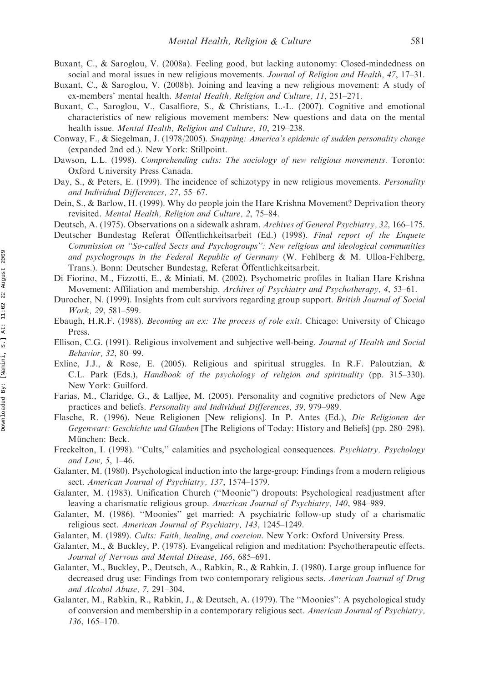- Buxant, C., & Saroglou, V. (2008a). Feeling good, but lacking autonomy: Closed-mindedness on social and moral issues in new religious movements. Journal of Religion and Health, 47, 17–31.
- Buxant, C., & Saroglou, V. (2008b). Joining and leaving a new religious movement: A study of ex-members' mental health. Mental Health, Religion and Culture, 11, 251-271.
- Buxant, C., Saroglou, V., Casalfiore, S., & Christians, L.-L. (2007). Cognitive and emotional characteristics of new religious movement members: New questions and data on the mental health issue. Mental Health, Religion and Culture, 10, 219-238.
- Conway, F., & Siegelman, J. (1978/2005). Snapping: America's epidemic of sudden personality change (expanded 2nd ed.). New York: Stillpoint.
- Dawson, L.L. (1998). Comprehending cults: The sociology of new religious movements. Toronto: Oxford University Press Canada.
- Day, S., & Peters, E. (1999). The incidence of schizotypy in new religious movements. *Personality* and Individual Differences, 27, 55–67.
- Dein, S., & Barlow, H. (1999). Why do people join the Hare Krishna Movement? Deprivation theory revisited. Mental Health, Religion and Culture, 2, 75–84.
- Deutsch, A. (1975). Observations on a sidewalk ashram. Archives of General Psychiatry, 32, 166–175.
- Deutscher Bundestag Referat Öffentlichkeitsarbeit (Ed.) (1998). Final report of the Enquete Commission on ''So-called Sects and Psychogroups'': New religious and ideological communities and psychogroups in the Federal Republic of Germany (W. Fehlberg & M. Ulloa-Fehlberg, Trans.). Bonn: Deutscher Bundestag, Referat Öffentlichkeitsarbeit.
- Di Fiorino, M., Fizzotti, E., & Miniati, M. (2002). Psychometric profiles in Italian Hare Krishna Movement: Affiliation and membership. Archives of Psychiatry and Psychotherapy, 4, 53–61.
- Durocher, N. (1999). Insights from cult survivors regarding group support. British Journal of Social Work, 29, 581–599.
- Ebaugh, H.R.F. (1988). Becoming an ex: The process of role exit. Chicago: University of Chicago Press.
- Ellison, C.G. (1991). Religious involvement and subjective well-being. Journal of Health and Social Behavior, 32, 80–99.
- Exline, J.J., & Rose, E. (2005). Religious and spiritual struggles. In R.F. Paloutzian, & C.L. Park (Eds.), Handbook of the psychology of religion and spirituality (pp. 315–330). New York: Guilford.
- Farias, M., Claridge, G., & Lalljee, M. (2005). Personality and cognitive predictors of New Age practices and beliefs. Personality and Individual Differences, 39, 979–989.
- Flasche, R. (1996). Neue Religionen [New religions]. In P. Antes (Ed.), Die Religionen der Gegenwart: Geschichte und Glauben [The Religions of Today: History and Beliefs] (pp. 280–298). München: Beck.
- Freckelton, I. (1998). "Cults," calamities and psychological consequences. Psychiatry, Psychology and Law, 5, 1–46.
- Galanter, M. (1980). Psychological induction into the large-group: Findings from a modern religious sect. American Journal of Psychiatry, 137, 1574-1579.
- Galanter, M. (1983). Unification Church (''Moonie'') dropouts: Psychological readjustment after leaving a charismatic religious group. American Journal of Psychiatry, 140, 984–989.
- Galanter, M. (1986). ''Moonies'' get married: A psychiatric follow-up study of a charismatic religious sect. American Journal of Psychiatry, 143, 1245-1249.
- Galanter, M. (1989). *Cults: Faith, healing, and coercion*. New York: Oxford University Press.
- Galanter, M., & Buckley, P. (1978). Evangelical religion and meditation: Psychotherapeutic effects. Journal of Nervous and Mental Disease, 166, 685–691.
- Galanter, M., Buckley, P., Deutsch, A., Rabkin, R., & Rabkin, J. (1980). Large group influence for decreased drug use: Findings from two contemporary religious sects. American Journal of Drug and Alcohol Abuse, 7, 291–304.
- Galanter, M., Rabkin, R., Rabkin, J., & Deutsch, A. (1979). The ''Moonies'': A psychological study of conversion and membership in a contemporary religious sect. American Journal of Psychiatry, 136, 165–170.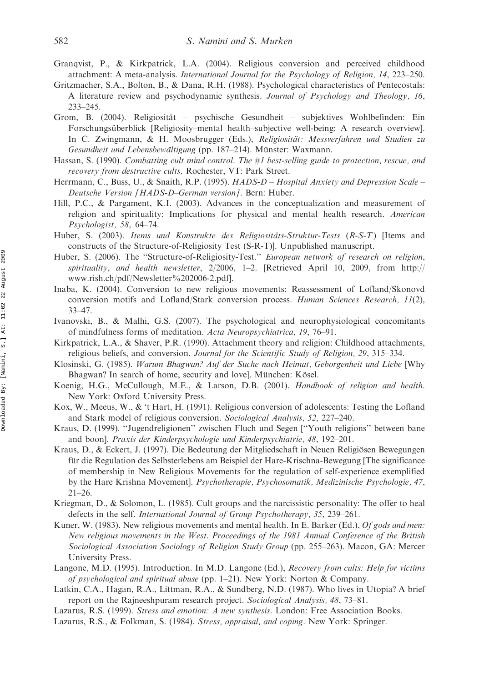- Granqvist, P., & Kirkpatrick, L.A. (2004). Religious conversion and perceived childhood attachment: A meta-analysis. International Journal for the Psychology of Religion, 14, 223–250.
- Gritzmacher, S.A., Bolton, B., & Dana, R.H. (1988). Psychological characteristics of Pentecostals: A literature review and psychodynamic synthesis. Journal of Psychology and Theology, 16, 233–245.
- Grom, B. (2004). Religiosita¨t psychische Gesundheit subjektives Wohlbefinden: Ein Forschungsüberblick [Religiosity–mental health–subjective well-being: A research overview]. In C. Zwingmann, & H. Moosbrugger (Eds.), Religiosität: Messverfahren und Studien zu Gesundheit und Lebensbewältigung (pp. 187–214). Münster: Waxmann.
- Hassan, S. (1990). Combatting cult mind control. The #1 best-selling guide to protection, rescue, and recovery from destructive cults. Rochester, VT: Park Street.
- Herrmann, C., Buss, U., & Snaith, R.P. (1995). HADS-D Hospital Anxiety and Depression Scale Deutsche Version [HADS-D–German version]. Bern: Huber.
- Hill, P.C., & Pargament, K.I. (2003). Advances in the conceptualization and measurement of religion and spirituality: Implications for physical and mental health research. American Psychologist, 58, 64–74.
- Huber, S. (2003). Items und Konstrukte des Religiositäts-Struktur-Tests (R-S-T) [Items and constructs of the Structure-of-Religiosity Test (S-R-T)]. Unpublished manuscript.
- Huber, S. (2006). The ''Structure-of-Religiosity-Test.'' European network of research on religion, spirituality, and health newsletter, 2/2006, 1–2. [Retrieved April 10, 2009, from http:// www.rish.ch/pdf/Newsletter%202006-2.pdf].
- Inaba, K. (2004). Conversion to new religious movements: Reassessment of Lofland/Skonovd conversion motifs and Lofland/Stark conversion process. Human Sciences Research, 11(2), 33–47.
- Ivanovski, B., & Malhi, G.S. (2007). The psychological and neurophysiological concomitants of mindfulness forms of meditation. Acta Neuropsychiatrica, 19, 76–91.
- Kirkpatrick, L.A., & Shaver, P.R. (1990). Attachment theory and religion: Childhood attachments, religious beliefs, and conversion. Journal for the Scientific Study of Religion, 29, 315–334.
- Klosinski, G. (1985). Warum Bhagwan? Auf der Suche nach Heimat, Geborgenheit und Liebe [Why Bhagwan? In search of home, security and love]. München: Kösel.
- Koenig, H.G., McCullough, M.E., & Larson, D.B. (2001). Handbook of religion and health. New York: Oxford University Press.
- Kox, W., Meeus, W., & 't Hart, H. (1991). Religious conversion of adolescents: Testing the Lofland and Stark model of religious conversion. Sociological Analysis, 52, 227–240.
- Kraus, D. (1999). ''Jugendreligionen'' zwischen Fluch und Segen [''Youth religions'' between bane and boon]. Praxis der Kinderpsychologie und Kinderpsychiatrie, 48, 192–201.
- Kraus, D., & Eckert, J. (1997). Die Bedeutung der Mitgliedschaft in Neuen Religiösen Bewegungen für die Regulation des Selbsterlebens am Beispiel der Hare-Krischna-Bewegung [The significance of membership in New Religious Movements for the regulation of self-experience exemplified by the Hare Krishna Movement]. Psychotherapie, Psychosomatik, Medizinische Psychologie, 47, 21–26.
- Kriegman, D., & Solomon, L. (1985). Cult groups and the narcissistic personality: The offer to heal defects in the self. International Journal of Group Psychotherapy, 35, 239–261.
- Kuner, W. (1983). New religious movements and mental health. In E. Barker (Ed.), Of gods and men: New religious movements in the West. Proceedings of the 1981 Annual Conference of the British Sociological Association Sociology of Religion Study Group (pp. 255–263). Macon, GA: Mercer University Press.
- Langone, M.D. (1995). Introduction. In M.D. Langone (Ed.), Recovery from cults: Help for victims of psychological and spiritual abuse (pp.  $1-21$ ). New York: Norton & Company.
- Latkin, C.A., Hagan, R.A., Littman, R.A., & Sundberg, N.D. (1987). Who lives in Utopia? A brief report on the Rajneeshpuram research project. Sociological Analysis, 48, 73–81.
- Lazarus, R.S. (1999). Stress and emotion: A new synthesis. London: Free Association Books.
- Lazarus, R.S., & Folkman, S. (1984). Stress, appraisal, and coping. New York: Springer.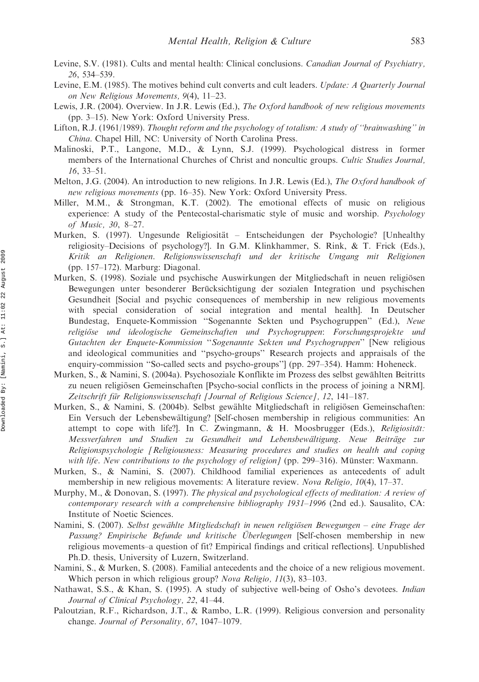- Levine, S.V. (1981). Cults and mental health: Clinical conclusions. Canadian Journal of Psychiatry, 26, 534–539.
- Levine, E.M. (1985). The motives behind cult converts and cult leaders. Update: A Quarterly Journal on New Religious Movements, 9(4), 11–23.
- Lewis, J.R. (2004). Overview. In J.R. Lewis (Ed.), The Oxford handbook of new religious movements (pp. 3–15). New York: Oxford University Press.
- Lifton, R.J. (1961/1989). Thought reform and the psychology of totalism: A study of ''brainwashing'' in China. Chapel Hill, NC: University of North Carolina Press.
- Malinoski, P.T., Langone, M.D., & Lynn, S.J. (1999). Psychological distress in former members of the International Churches of Christ and noncultic groups. Cultic Studies Journal, 16, 33–51.
- Melton, J.G. (2004). An introduction to new religions. In J.R. Lewis (Ed.), The Oxford handbook of new religious movements (pp. 16–35). New York: Oxford University Press.
- Miller, M.M., & Strongman, K.T. (2002). The emotional effects of music on religious experience: A study of the Pentecostal-charismatic style of music and worship. Psychology of Music, 30, 8–27.
- Murken, S. (1997). Ungesunde Religiosität Entscheidungen der Psychologie? [Unhealthy religiosity–Decisions of psychology?]. In G.M. Klinkhammer, S. Rink, & T. Frick (Eds.), Kritik an Religionen. Religionswissenschaft und der kritische Umgang mit Religionen (pp. 157–172). Marburg: Diagonal.
- Murken, S. (1998). Soziale und psychische Auswirkungen der Mitgliedschaft in neuen religiösen Bewegungen unter besonderer Berücksichtigung der sozialen Integration und psychischen Gesundheit [Social and psychic consequences of membership in new religious movements with special consideration of social integration and mental health]. In Deutscher Bundestag, Enquete-Kommission ''Sogenannte Sekten und Psychogruppen'' (Ed.), Neue religiöse und ideologische Gemeinschaften und Psychogruppen: Forschungsprojekte und Gutachten der Enquete-Kommission ''Sogenannte Sekten und Psychogruppen'' [New religious and ideological communities and ''psycho-groups'' Research projects and appraisals of the enquiry-commission ''So-called sects and psycho-groups''] (pp. 297–354). Hamm: Hoheneck.
- Murken, S., & Namini, S. (2004a). Psychosoziale Konflikte im Prozess des selbst gewählten Beitritts zu neuen religiösen Gemeinschaften [Psycho-social conflicts in the process of joining a NRM]. Zeitschrift für Religionswissenschaft [Journal of Religious Science], 12, 141-187.
- Murken, S., & Namini, S. (2004b). Selbst gewählte Mitgliedschaft in religiösen Gemeinschaften: Ein Versuch der Lebensbewältigung? [Self-chosen membership in religious communities: An attempt to cope with life?]. In C. Zwingmann,  $\&$  H. Moosbrugger (Eds.), *Religiosität:* Messverfahren und Studien zu Gesundheit und Lebensbewältigung. Neue Beiträge zur Religionspsychologie [Religiousness: Measuring procedures and studies on health and coping with life. New contributions to the psychology of religion  $\int$  (pp. 299–316). Münster: Waxmann.
- Murken, S., & Namini, S. (2007). Childhood familial experiences as antecedents of adult membership in new religious movements: A literature review. Nova Religio, 10(4), 17–37.
- Murphy, M., & Donovan, S. (1997). The physical and psychological effects of meditation: A review of contemporary research with a comprehensive bibliography 1931–1996 (2nd ed.). Sausalito, CA: Institute of Noetic Sciences.
- Namini, S. (2007). Selbst gewählte Mitgliedschaft in neuen religiösen Bewegungen eine Frage der Passung? Empirische Befunde und kritische Uberlegungen [Self-chosen membership in new religious movements–a question of fit? Empirical findings and critical reflections]. Unpublished Ph.D. thesis, University of Luzern, Switzerland.
- Namini, S., & Murken, S. (2008). Familial antecedents and the choice of a new religious movement. Which person in which religious group? Nova Religio, 11(3), 83–103.
- Nathawat, S.S., & Khan, S. (1995). A study of subjective well-being of Osho's devotees. Indian Journal of Clinical Psychology, 22, 41–44.
- Paloutzian, R.F., Richardson, J.T., & Rambo, L.R. (1999). Religious conversion and personality change. Journal of Personality, 67, 1047–1079.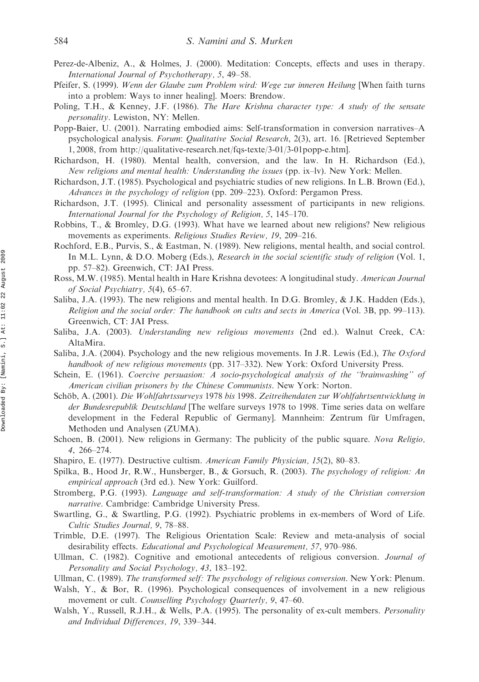- Perez-de-Albeniz, A., & Holmes, J. (2000). Meditation: Concepts, effects and uses in therapy. International Journal of Psychotherapy, 5, 49–58.
- Pfeifer, S. (1999). Wenn der Glaube zum Problem wird: Wege zur inneren Heilung [When faith turns into a problem: Ways to inner healing]. Moers: Brendow.
- Poling, T.H., & Kenney, J.F. (1986). The Hare Krishna character type: A study of the sensate personality. Lewiston, NY: Mellen.
- Popp-Baier, U. (2001). Narrating embodied aims: Self-transformation in conversion narratives–A psychological analysis. Forum: Qualitative Social Research, 2(3), art. 16. [Retrieved September 1, 2008, from http://qualitative-research.net/fqs-texte/3-01/3-01popp-e.htm].
- Richardson, H. (1980). Mental health, conversion, and the law. In H. Richardson (Ed.), New religions and mental health: Understanding the issues (pp. ix–lv). New York: Mellen.
- Richardson, J.T. (1985). Psychological and psychiatric studies of new religions. In L.B. Brown (Ed.), Advances in the psychology of religion (pp. 209–223). Oxford: Pergamon Press.
- Richardson, J.T. (1995). Clinical and personality assessment of participants in new religions. International Journal for the Psychology of Religion, 5, 145–170.
- Robbins, T., & Bromley, D.G. (1993). What have we learned about new religions? New religious movements as experiments. Religious Studies Review, 19, 209–216.
- Rochford, E.B., Purvis, S., & Eastman, N. (1989). New religions, mental health, and social control. In M.L. Lynn, & D.O. Moberg (Eds.), Research in the social scientific study of religion (Vol. 1, pp. 57–82). Greenwich, CT: JAI Press.
- Ross, M.W. (1985). Mental health in Hare Krishna devotees: A longitudinal study. American Journal of Social Psychiatry, 5(4), 65–67.
- Saliba, J.A. (1993). The new religions and mental health. In D.G. Bromley, & J.K. Hadden (Eds.), Religion and the social order: The handbook on cults and sects in America (Vol. 3B, pp. 99–113). Greenwich, CT: JAI Press.
- Saliba, J.A. (2003). Understanding new religious movements (2nd ed.). Walnut Creek, CA: AltaMira.
- Saliba, J.A. (2004). Psychology and the new religious movements. In J.R. Lewis (Ed.), The Oxford handbook of new religious movements (pp. 317–332). New York: Oxford University Press.
- Schein, E. (1961). Coercive persuasion: A socio-psychological analysis of the "brainwashing" of American civilian prisoners by the Chinese Communists. New York: Norton.
- Schöb, A. (2001). Die Wohlfahrtssurveys 1978 bis 1998. Zeitreihendaten zur Wohlfahrtsentwicklung in der Bundesrepublik Deutschland [The welfare surveys 1978 to 1998. Time series data on welfare development in the Federal Republic of Germany]. Mannheim: Zentrum für Umfragen, Methoden und Analysen (ZUMA).
- Schoen, B. (2001). New religions in Germany: The publicity of the public square. Nova Religio, 4, 266–274.
- Shapiro, E. (1977). Destructive cultism. American Family Physician, 15(2), 80–83.
- Spilka, B., Hood Jr, R.W., Hunsberger, B., & Gorsuch, R. (2003). The psychology of religion: An empirical approach (3rd ed.). New York: Guilford.
- Stromberg, P.G. (1993). Language and self-transformation: A study of the Christian conversion narrative. Cambridge: Cambridge University Press.
- Swartling, G., & Swartling, P.G. (1992). Psychiatric problems in ex-members of Word of Life. Cultic Studies Journal, 9, 78–88.
- Trimble, D.E. (1997). The Religious Orientation Scale: Review and meta-analysis of social desirability effects. Educational and Psychological Measurement, 57, 970–986.
- Ullman, C. (1982). Cognitive and emotional antecedents of religious conversion. Journal of Personality and Social Psychology, 43, 183–192.
- Ullman, C. (1989). The transformed self: The psychology of religious conversion. New York: Plenum.
- Walsh, Y., & Bor, R. (1996). Psychological consequences of involvement in a new religious movement or cult. Counselling Psychology Quarterly, 9, 47–60.
- Walsh, Y., Russell, R.J.H., & Wells, P.A. (1995). The personality of ex-cult members. *Personality* and Individual Differences, 19, 339–344.